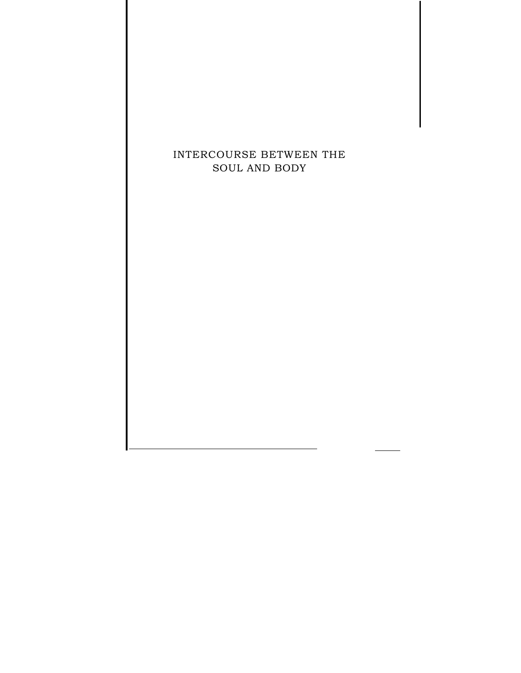# INTERCOURSE BETWEEN THE SOUL AND BODY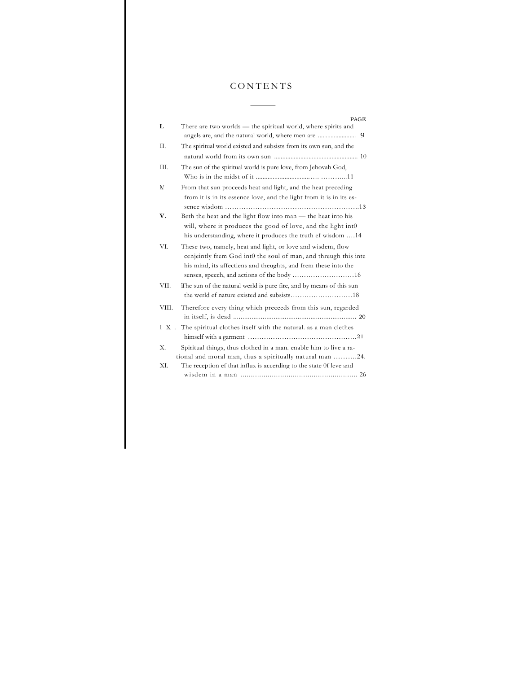# CONTENTS

 $\overline{a}$ 

| Π.<br>The spiritual world existed and subsists from its own sun, and the                                                          | 9 |
|-----------------------------------------------------------------------------------------------------------------------------------|---|
|                                                                                                                                   |   |
|                                                                                                                                   |   |
|                                                                                                                                   |   |
| III.<br>The sun of the spiritual world is pure love, from Jehovah God,                                                            |   |
| V<br>From that sun proceeds heat and light, and the heat preceding                                                                |   |
| from it is in its essence love, and the light from it is in its es-                                                               |   |
|                                                                                                                                   |   |
| Beth the heat and the light flow into man - the heat into his<br>V.                                                               |   |
| will, where it produces the good of love, and the light into                                                                      |   |
| his understanding, where it produces the truth ef wisdom 14                                                                       |   |
| VI.<br>These two, namely, heat and light, or love and wisdem, flow                                                                |   |
| cenjeintly frem God int0 the soul of man, and threugh this inte<br>his mind, its affectiens and theughts, and frem these into the |   |
|                                                                                                                                   |   |
| VII.<br>The sun of the natural werld is pure fire, and by means of this sun                                                       |   |
|                                                                                                                                   |   |
| Therefore every thing which preceeds from this sun, regarded<br>VIII.                                                             |   |
|                                                                                                                                   |   |
| The spiritual clothes itself with the natural, as a man clethes<br>IX.                                                            |   |
| Spiritual things, thus clothed in a man. enable him to live a ra-<br>Х.                                                           |   |
| tional and moral man, thus a spiritually natural man 24.                                                                          |   |
| XI.<br>The reception ef that influx is accerding to the state Of leve and                                                         |   |
|                                                                                                                                   |   |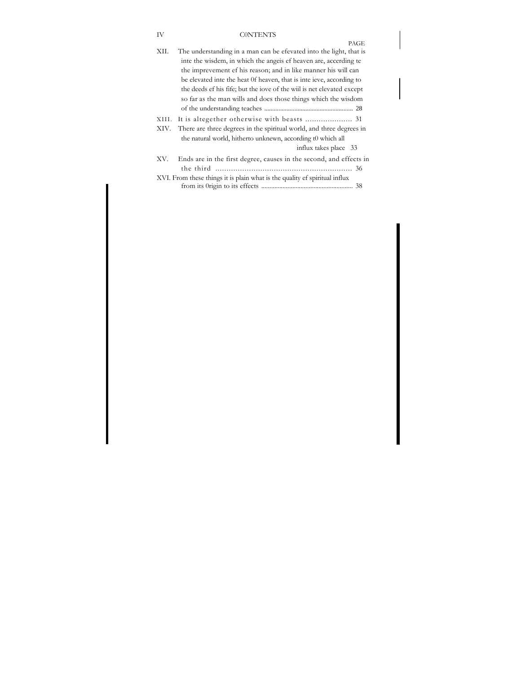# IV C0NTENTS

| PAGE                                                                         |
|------------------------------------------------------------------------------|
| XII.<br>The understanding in a man can be efevated into the light, that is   |
| inte the wisdem, in which the angels ef heaven are, accerding te             |
| the imprevement ef his reason; and in like manner his will can               |
| be elevated inte the heat 0f heaven, that is inte ieve, according to         |
| the deeds ef his fife; but the love of the will is net elevated except       |
| so far as the man wills and does those things which the wisdom               |
|                                                                              |
| XIII.                                                                        |
| There are three degrees in the spiritual world, and three degrees in<br>XIV. |
| the natural world, hitherto unknewn, according to which all                  |
| influx takes place 33                                                        |
| Ends are in the first degree, causes in the second, and effects in<br>XV.    |
|                                                                              |
| XVI. From these things it is plain what is the quality of spiritual influx   |
|                                                                              |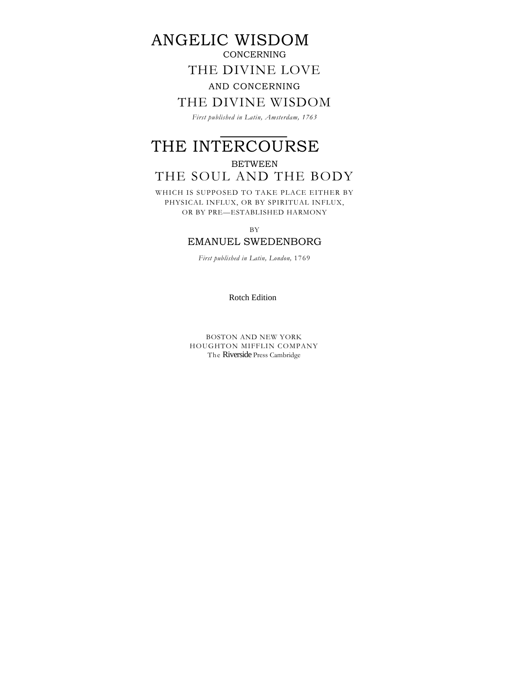# ANGELIC WISDOM

# **CONCERNING**

# THE DIVINE LOVE

# AND CONCERNING

# THE DIVINE WISDOM

*First published in Latin, Amsterdam, 1763* 

# THE INTERCOURSE

# BETWEEN

# THE SOUL AND THE BODY

WHICH IS SUPPOSED TO TAKE PLACE EITHER BY PHYSICAL INFLUX, OR BY SPIRITUAL INFLUX, OR BY PRE—ESTABLISHED HARMONY

BY

# EMANUEL SWEDENBORG

*First published in Latin, London,* 1769

Rotch Edition

BOSTON AND NEW YORK HOUGHTON MIFFLIN COMPANY The Riverside Press Cambridge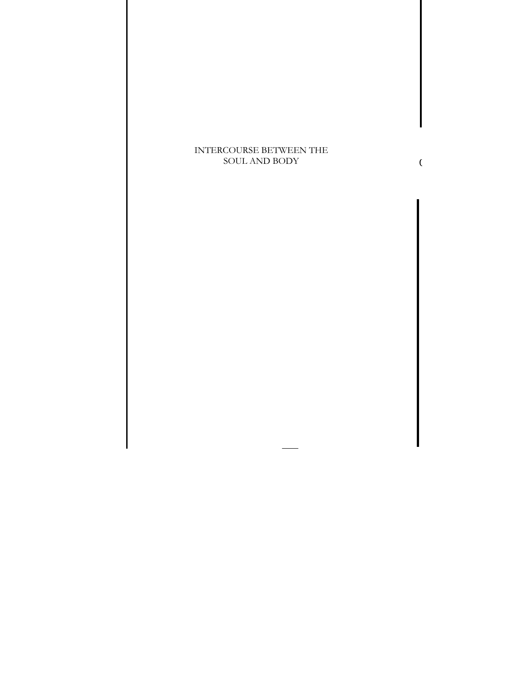# INTERCOURSE BETWEEN THE SOUL AND BODY

 $\overline{C}$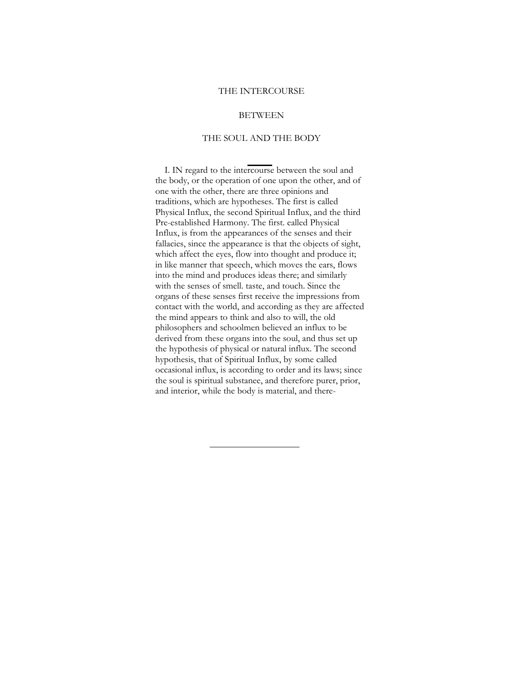### THE INTERCOURSE

### BETWEEN

# THE SOUL AND THE BODY

I. IN regard to the intercourse between the soul and the body, or the operation of one upon the other, and of one with the other, there are three opinions and traditions, which are hypotheses. The first is called Physical Influx, the second Spiritual Influx, and the third Pre-established Harmony. The first. ealled Physical Influx, is from the appearances of the senses and their fallacies, since the appearance is that the objects of sight, which affect the eyes, flow into thought and produce it; in like manner that speech, which moves the ears, flows into the mind and produces ideas there; and similarly with the senses of smell. taste, and touch. Since the organs of these senses first receive the impressions from contact with the world, and according as they are affected the mind appears to think and also to will, the old philosophers and schoolmen believed an influx to be derived from these organs into the soul, and thus set up the hypothesis of physical or natural influx. The seeond hypothesis, that of Spiritual Influx, by some called occasional influx, is according to order and its laws; since the soul is spiritual substanee, and therefore purer, prior, and interior, while the body is material, and there-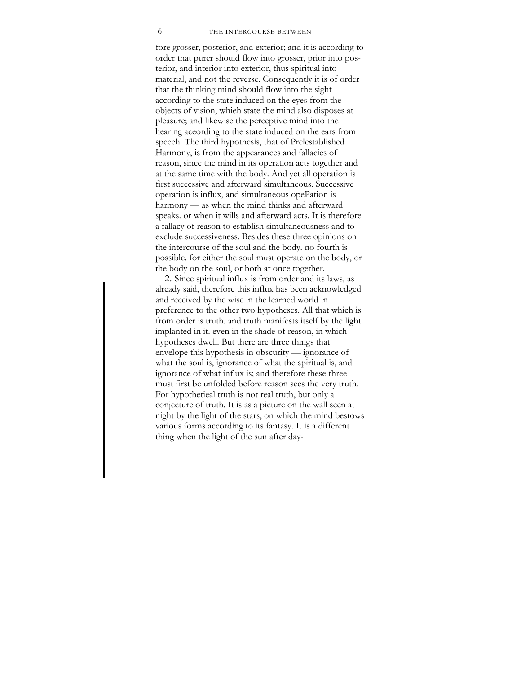#### 6 THE INTERCOURSE BETWEEN

fore grosser, posterior, and exterior; and it is according to order that purer should flow into grosser, prior into posterior, and interior into exterior, thus spiritual into material, and not the reverse. Consequently it is of order that the thinking mind should flow into the sight according to the state induced on the eyes from the objects of vision, whieh state the mind also disposes at pleasure; and likewise the perceptive mind into the hearing aceording to the state induced on the ears from speeeh. The third hypothesis, that of Prelestablished Harmony, is from the appearances and fallacies of reason, since the mind in its operation acts together and at the same time with the body. And yet all operation is first sueeessive and afterward simultaneous. Suecessive operation is influx, and simultaneous opePation is harmony — as when the mind thinks and afterward speaks. or when it wills and afterward acts. It is therefore a fallacy of reason to establish simultaneousness and to exclude successiveness. Besides these three opinions on the intercourse of the soul and the body. no fourth is possible. for either the soul must operate on the body, or the body on the soul, or both at once together.

2. Since spiritual influx is from order and its laws, as already said, therefore this influx has been acknowledged and received by the wise in the learned world in preference to the other two hypotheses. All that which is from order is truth. and truth manifests itself by the light implanted in it. even in the shade of reason, in which hypotheses dwell. But there are three things that envelope this hypothesis in obscurity — ignorance of what the soul is, ignorance of what the spiritual is, and ignorance of what influx is; and therefore these three must first be unfolded before reason sees the very truth. For hypothetieal truth is not real truth, but only a conjecture of truth. It is as a picture on the wall seen at night by the light of the stars, on which the mind bestows various forms according to its fantasy. It is a different thing when the light of the sun after day-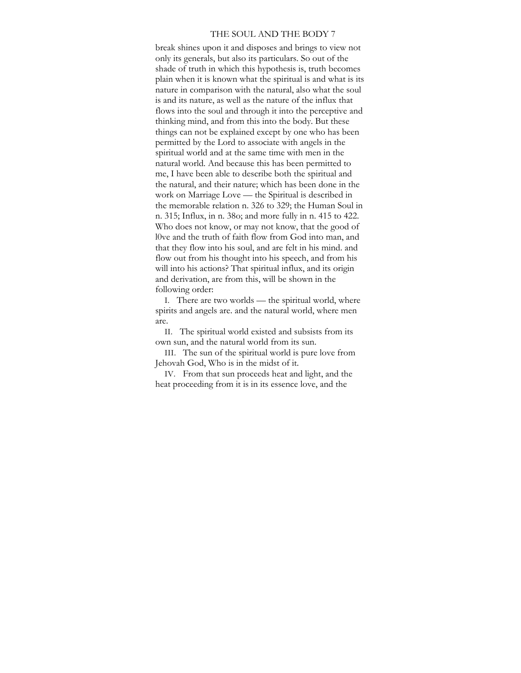#### THE SOUL AND THE BODY 7

break shines upon it and disposes and brings to view not only its generals, but also its particulars. So out of the shade of truth in which this hypothesis is, truth becomes plain when it is known what the spiritual is and what is its nature in comparison with the natural, also what the soul is and its nature, as well as the nature of the influx that flows into the soul and through it into the perceptive and thinking mind, and from this into the body. But these things can not be explained except by one who has been permitted by the Lord to associate with angels in the spiritual world and at the same time with men in the natural world. And because this has been permitted to me, I have been able to describe both the spiritual and the natural, and their nature; which has been done in the work on Marriage Love — the Spiritual is described in the memorable relation n. 326 to 329; the Human Soul in n. 315; Influx, in n. 38o; and more fully in n. 415 to 422. Who does not know, or may not know, that the good of l0ve and the truth of faith flow from God into man, and that they flow into his soul, and are felt in his mind. and flow out from his thought into his speech, and from his will into his actions? That spiritual influx, and its origin and derivation, are from this, will be shown in the following order:

I. There are two worlds — the spiritual world, where spirits and angels are. and the natural world, where men are.

II. The spiritual world existed and subsists from its own sun, and the natural world from its sun.

III. The sun of the spiritual world is pure love from Jehovah God, Who is in the midst of it.

IV. From that sun proceeds heat and light, and the heat proceeding from it is in its essence love, and the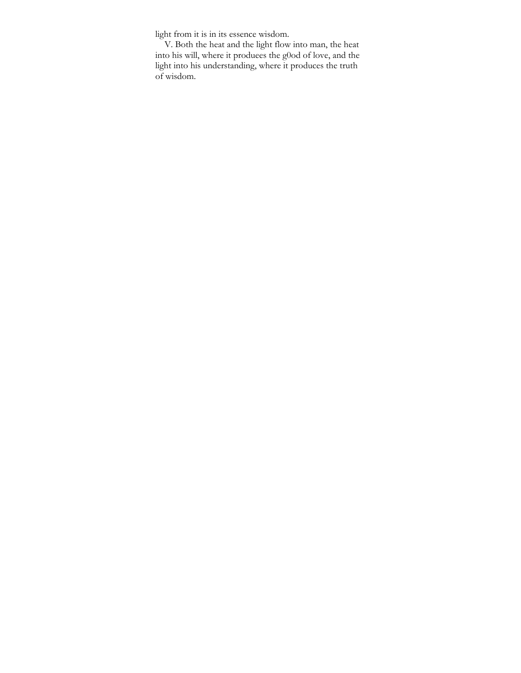light from it is in its essence wisdom.

V. Both the heat and the light flow into man, the heat into his will, where it produees the g0od of love, and the light into his understanding, where it produces the truth of wisdom.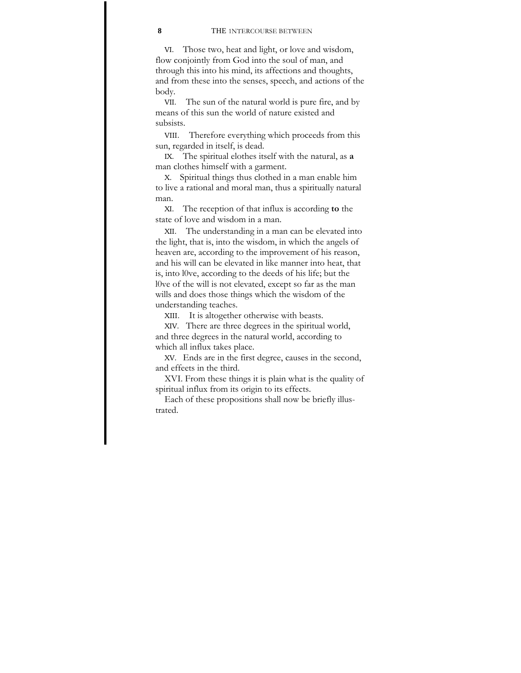#### **8** THE 1NTERCOURSE BETWEEN

VI. Those two, heat and light, or love and wisdom, flow conjointly from God into the soul of man, and through this into his mind, its affections and thoughts, and from these into the senses, speech, and actions of the body.

VII. The sun of the natural world is pure fire, and by means of this sun the world of nature existed and subsists.

VIII. Therefore everything which proceeds from this sun, regarded in itself, is dead.

IX. The spiritual elothes itself with the natural, as **a**  man clothes himself with a garment.

X. Spiritual things thus clothed in a man enable him to live a rational and moral man, thus a spiritually natural man.

XI. The reception of that influx is according **to** the state of love and wisdom in a man.

XII. The understanding in a man can be elevated into the light, that is, into the wisdom, in which the angels of heaven are, according to the improvement of his reason, and his will can be elevated in like manner into heat, that is, into l0ve, according to the deeds of his life; but the l0ve of the will is not elevated, except so far as the man wills and does those things which the wisdom of the understanding teaches.

XIII. It is altogether otherwise with beasts.

XIV. There are three degrees in the spiritual world, and three degrees in the natural world, according to which all influx takes place.

XV. Ends are in the first degree, causes in the second, and effeets in the third.

XVI. From these things it is plain what is the quality of spiritual influx from its origin to its effects.

Each of these propositions shall now be briefly illustrated.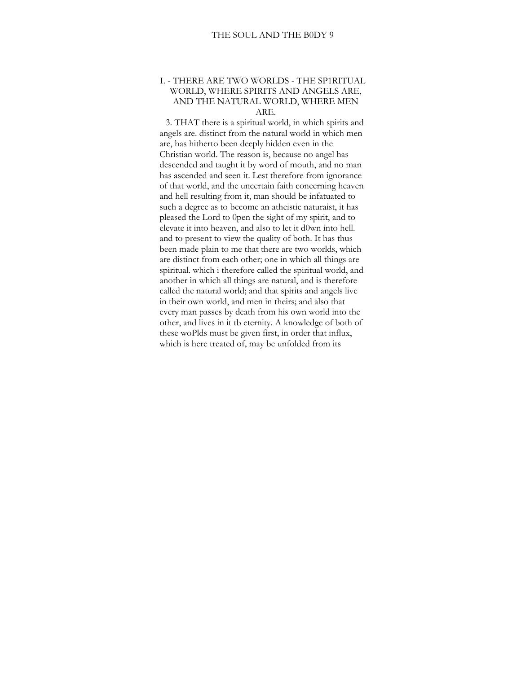# I. - THERE ARE TWO WORLDS - THE SP1RITUAL WORLD, WHERE SPIRITS AND ANGELS ARE, AND THE NATURAL WORLD, WHERE MEN ARE.

3. THAT there is a spiritual world, in which spirits and angels are. distinct from the natural world in which men are, has hitherto been deeply hidden even in the Christian world. The reason is, because no angel has descended and taught it by word of mouth, and no man has ascended and seen it. Lest therefore from ignorance of that world, and the uncertain faith coneerning heaven and hell resulting from it, man should be infatuated to such a degree as to become an atheistic naturaist, it has pleased the Lord to 0pen the sight of my spirit, and to elevate it into heaven, and also to let it d0wn into hell. and to present to view the quality of both. It has thus been made plain to me that there are two worlds, which are distinct from each other; one in which all things are spiritual. which i therefore called the spiritual world, and another in which all things are natural, and is therefore called the natural world; and that spirits and angels live in their own world, and men in theirs; and also that every man passes by death from his own world into the other, and lives in it tb eternity. A knowledge of both of these woPlds must be given first, in order that influx, which is here treated of, may be unfolded from its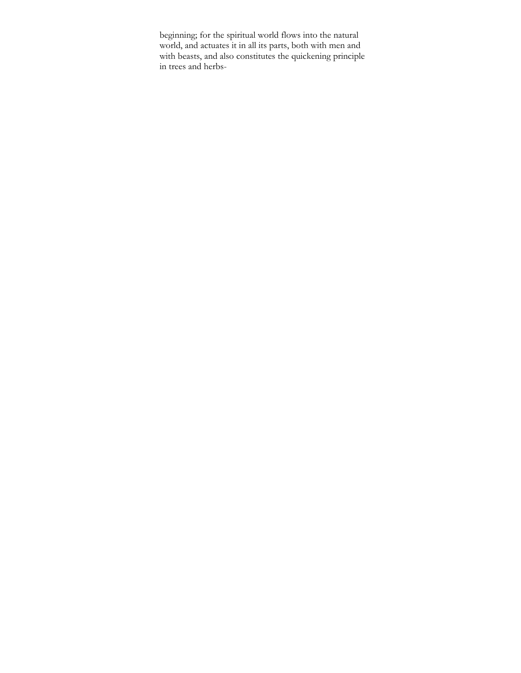beginning; for the spiritual world flows into the natural world, and actuates it in all its parts, both with men and with beasts, and also constitutes the quickening principle in trees and herbs-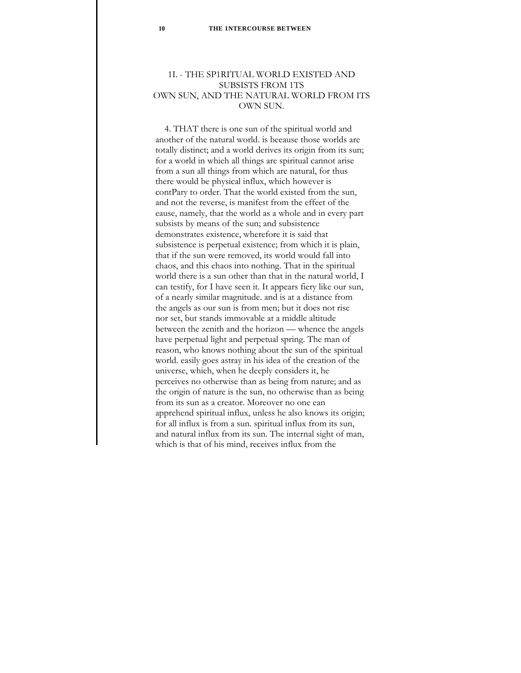# 1I. - THE SP1RITUAL WORLD EXISTED AND SUBSISTS FROM 1TS OWN SUN, AND THE NATURAL WORLD FROM ITS OWN SUN.

4. THAT there is one sun of the spiritual world and another of the natural world. is beeause those worlds are totally distinct; and a world derives its origin from its sun; for a world in whieh all things are spiritual cannot arise from a sun all things from which are natural, for thus there would be physical influx, which however is contPary to order. That the world existed from the sun, and not the reverse, is manifest from the effeet of the eause, namely, that the world as a whole and in every part subsists by means of the sun; and subsistence demonstrates existence, wherefore it is said that subsistence is perpetual existence; from which it is plain, that if the sun were removed, its world would fall into chaos, and this ehaos into nothing. That in the spiritual world there is a sun other than that in the natural world, I can testify, for I have seen it. It appears fiery like our sun, of a nearly similar magnitude. and is at a distance from the angels as our sun is from men; but it does not rise nor set, but stands immovable at a middle altitude between the zenith and the horizon — whence the angels have perpetual light and perpetual spring. The man of reason, who knows nothing about the sun of the spiritual world. easily goes astray in his idea of the creation of the universe, whieh, when he deeply considers it, he perceives no otherwise than as being from nature; and as the origin of nature is the sun, no otherwise than as being from its sun as a creator. Moreover no one ean apprehend spiritual influx, unless he also knows its origin; for all influx is from a sun. spiritual influx from its sun, and natural influx from its sun. The internal sight of man, which is that of his mind, receives influx from the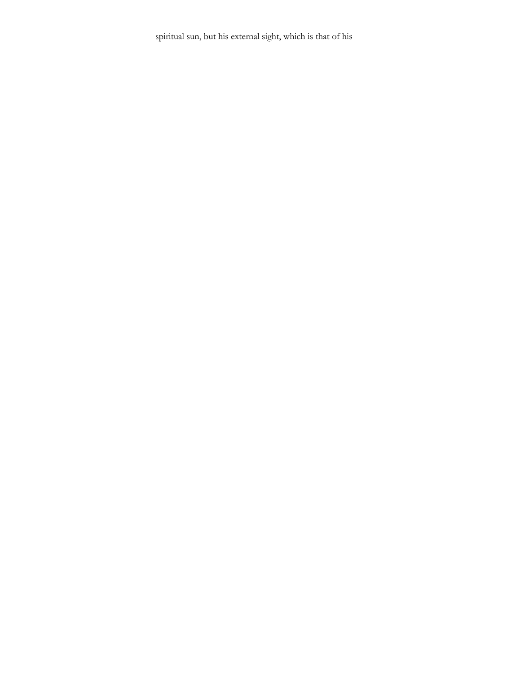spiritual sun, but his external sight, which is that of his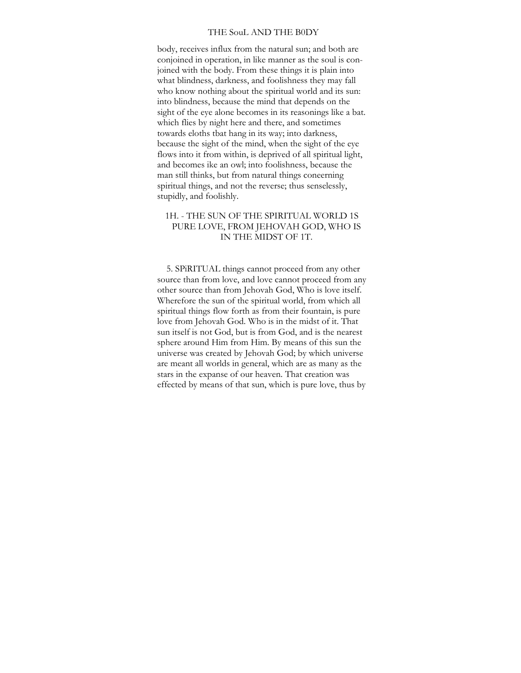#### THE SouL AND THE B0DY

body, receives influx from the natural sun; and both are conjoined in operation, in like manner as the soul is conjoined with the body. From these things it is plain into what blindness, darkness, and foolishness they may fall who know nothing about the spiritual world and its sun: into blindness, because the mind that depends on the sight of the eye alone becomes in its reasonings like a bat. which flies by night here and there, and sometimes towards eloths tbat hang in its way; into darkness, because the sight of the mind, when the sight of the eye flows into it from within, is deprived of all spiritual light, and becomes ike an owl; into foolishness, because the man still thinks, but from natural things coneerning spiritual things, and not the reverse; thus senselessly, stupidly, and foolishly.

# 1H. - THE SUN OF THE SPIRITUAL WORLD 1S PURE LOVE, FROM JEHOVAH GOD, WHO IS IN THE MIDST OF 1T.

5. SPiRITUAL things cannot proceed from any other source than from love, and love cannot proceed from any other source than from Jehovah God, Who is love itself. Wherefore the sun of the spiritual world, from which all spiritual things flow forth as from their fountain, is pure love from Jehovah God. Who is in the midst of it. That sun itself is not God, but is from God, and is the nearest sphere around Him from Him. By means of this sun the universe was created by Jehovah God; by which universe are meant all worlds in general, which are as many as the stars in the expanse of our heaven. That creation was effected by means of that sun, which is pure love, thus by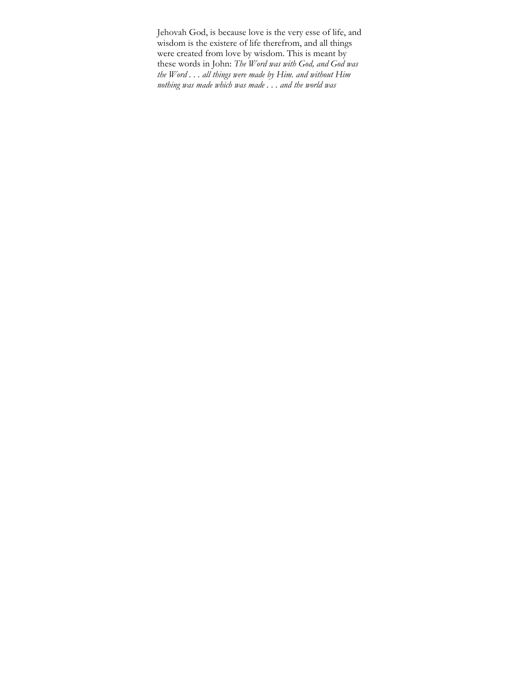Jehovah God, is because love is the very esse of life, and wisdom is the existere of life therefrom, and all things were created from love by wisdom. This is meant by these words in John: *The Word was with God, and God was the Word . . . all things were made by Him. and without Him nothing was made which was made . . . and the world was*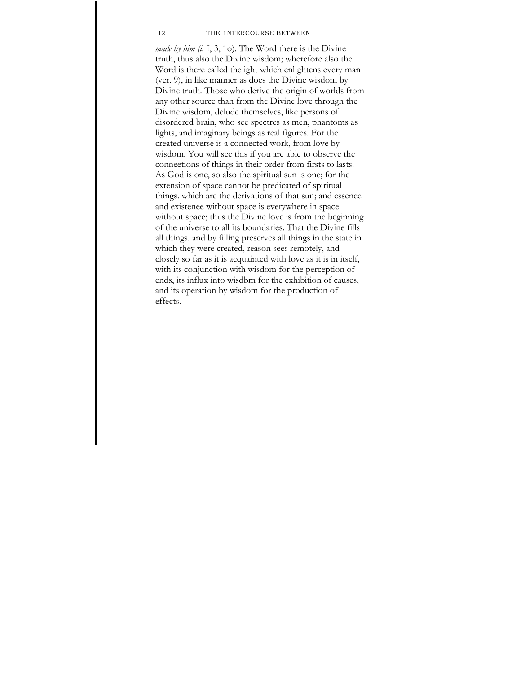#### 12 THE 1NTERCOURSE BETWEEN

*made by him (i.* I, 3, 1o). The Word there is the Divine truth, thus also the Divine wisdom; wherefore also the Word is there called the ight which enlightens every man (ver. 9), in like manner as does the Divine wisdom by Divine truth. Those who derive the origin of worlds from any other source than from the Divine love through the Divine wisdom, delude themselves, like persons of disordered brain, who see spectres as men, phantoms as lights, and imaginary beings as real figures. For the created universe is a connected work, from love by wisdom. You will see this if you are able to observe the conneetions of things in their order from firsts to lasts. As God is one, so also the spiritual sun is one; for the extension of space cannot be predicated of spiritual things. which are the derivations of that sun; and essenee and existenee without space is everywhere in space without space; thus the Divine love is from the beginning of the universe to all its boundaries. That the Divine fills all things. and by filling preserves all things in the state in which they were created, reason sees remotely, and closely so far as it is acquainted with love as it is in itself, with its conjunction with wisdom for the perception of ends, its influx into wisdbm for the exhibition of causes, and its operation by wisdom for the production of effects.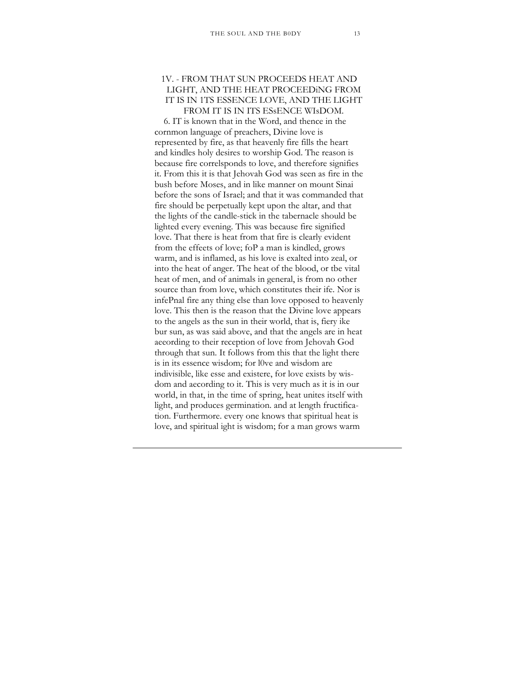# 1V. - FROM THAT SUN PROCEEDS HEAT AND LIGHT, AND THE HEAT PROCEEDiNG FROM IT IS IN 1TS ESSENCE LOVE, AND THE LIGHT FROM IT IS IN ITS ESsENCE WIsDOM.

6. IT is known that in the Word, and thence in the cornmon language of preachers, Divine love is represented by fire, as that heavenly fire fills the heart and kindles holy desires to worship God. The reason is because fire correlsponds to love, and therefore signifies it. From this it is that Jehovah God was seen as fire in the bush before Moses, and in like manner on mount Sinai before the sons of Israel; and that it was commanded that fire should be perpetually kept upon the altar, and that the lights of the candle-stick in the tabernacle should be lighted every evening. This was because fire signified love. That there is heat from that fire is clearly evident from the effeets of love; foP a man is kindled, grows warm, and is inflamed, as his love is exalted into zeal, or into the heat of anger. The heat of the blood, or tbe vital heat of men, and of animals in general, is from no other source than from love, which constitutes their ife. Nor is infePnal fire any thing else than love opposed to heavenly love. This then is the reason that the Divine love appears to the angels as the sun in their world, that is, fiery ike bur sun, as was said above, and that the angels are in heat aeeording to their reception of love from Jehovah God through that sun. It follows from this that the light there is in its essence wisdom; for l0ve and wisdom are indivisible, like esse and existere, for love exists by wisdom and aecording to it. This is very much as it is in our world, in that, in the time of spring, heat unites itself with light, and produces germination. and at length fructification. Furthermore. every one knows that spiritual heat is love, and spiritual ight is wisdom; for a man grows warm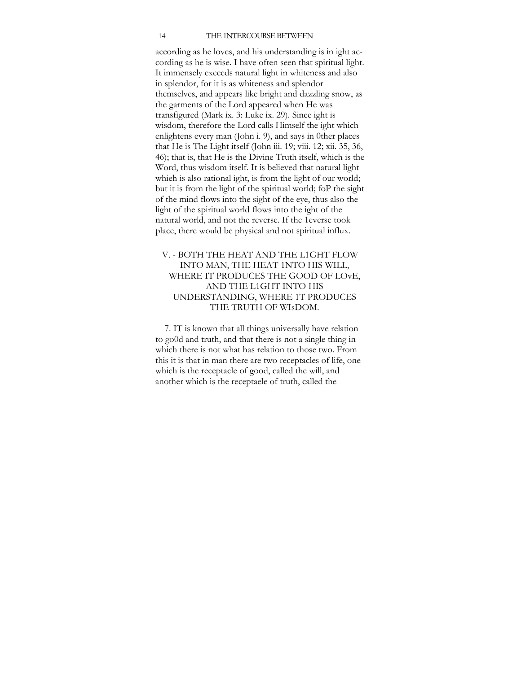#### 14 THE 1NTERCOURSE BETWEEN

aceording as he loves, and his understanding is in ight according as he is wise. I have often seen that spiritual light. It immensely exceeds natural light in whiteness and also in splendor, for it is as whiteness and splendor themselves, and appears like bright and dazzling snow, as the garments of the Lord appeared when He was transfigured (Mark ix. 3: Luke ix. 29). Since ight is wisdom, therefore the Lord calls Himself the ight which enlightens every man (John i. 9), and says in 0ther places that He is The Light itself (John iii. 19; viii. 12; xii. 35, 36, 46); that is, that He is the Divine Truth itself, which is the Word, thus wisdom itself. It is believed that natural light whieh is also rational ight, is from the light of our world; but it is from the light of the spiritual world; foP the sight of the mind flows into the sight of the eye, thus also the light of the spiritual world flows into the ight of the natural world, and not the reverse. If the 1everse took place, there would be physical and not spiritual influx.

# V. - BOTH THE HEAT AND THE L1GHT FLOW INTO MAN, THE HEAT 1NTO HIS WILL, WHERE IT PRODUCES THE GOOD OF LOvE, AND THE L1GHT INTO HIS UNDERSTANDING, WHERE 1T PRODUCES THE TRUTH OF WIsDOM.

7. IT is known that all things universally have relation to go0d and truth, and that there is not a single thing in which there is not what has relation to those two. From this it is that in man there are two receptacles of life, one which is the receptacle of good, called the will, and another which is the receptaele of truth, called the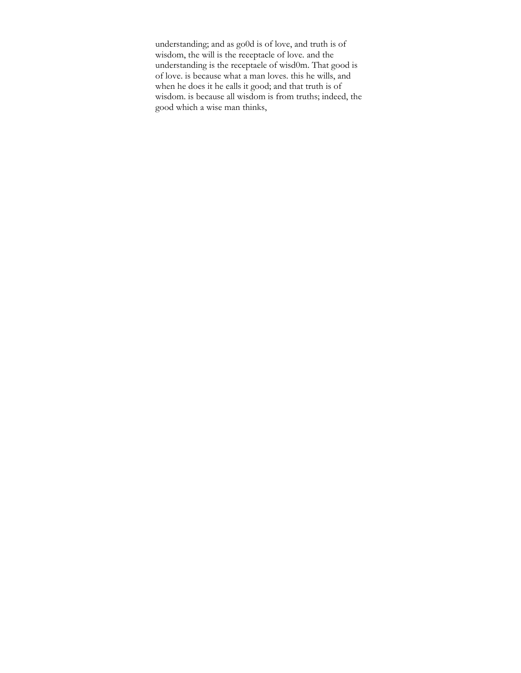understanding; and as go0d is of love, and truth is of wisdom, the will is the reeeptacle of love. and the understanding is the receptaele of wisd0m. That good is of love. is because what a man loves. this he wills, and when he does it he ealls it good; and that truth is of wisdom. is because all wisdom is from truths; indeed, the good which a wise man thinks,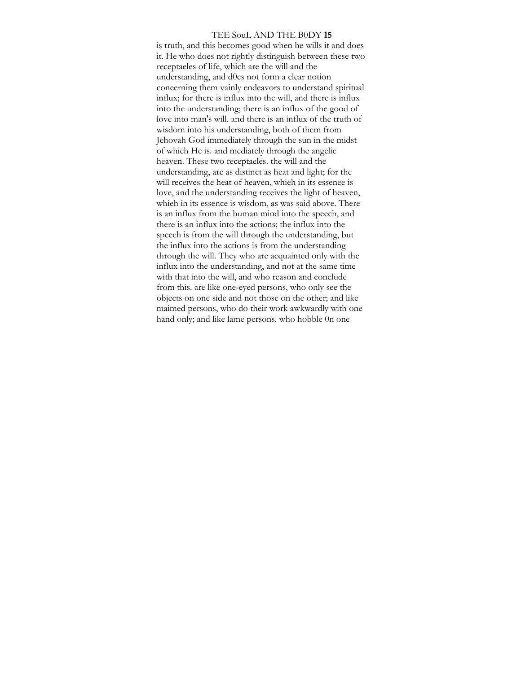#### TEE SouL AND THE B0DY **15**

is truth, and this becomes good when he wills it and does it. He who does not rightly distinguish between these two receptaeles of life, which are the will and the understanding, and d0es not form a clear notion coneerning them vainly endeavors to understand spiritual influx; for there is influx into the will, and there is influx into the understanding; there is an influx of the good of love into man's will. and there is an influx of the truth of wisdom into his understanding, both of them from Jehovah God immediately through the sun in the midst of whieh He is. and mediately through the angelic heaven. These two receptaeles. the will and the understanding, are as distinct as heat and light; for the will receives the heat of heaven, whieh in its essenee is love, and the understanding receives the light of heaven, whieh in its essence is wisdom, as was said above. There is an influx from the human mind into the speech, and there is an influx into the actions; the influx into the speech is from the will through the understanding, but the influx into the actions is from the understanding through the will. They who are acquainted only with the influx into the understanding, and not at the same time with that into the will, and who reason and conelude from this. are like one-eyed persons, who only see the objects on one side and not those on the other; and like maimed persons, who do their work awkwardly with one hand only; and like lame persons. who hobble 0n one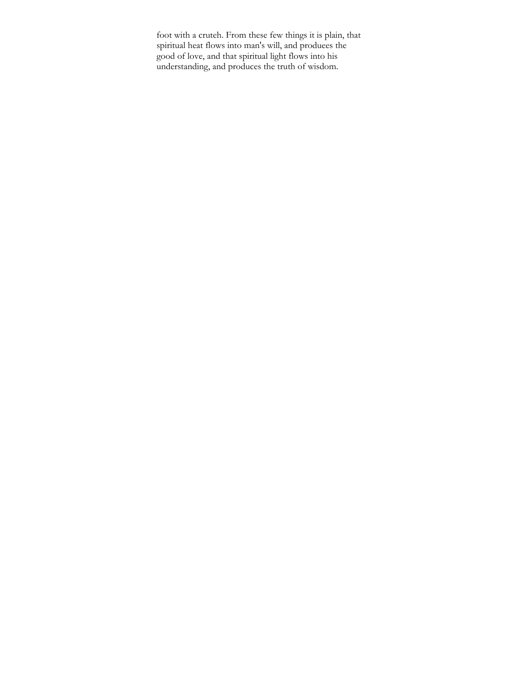foot with a cruteh. From these few things it is plain, that spiritual heat flows into man's will, and produees the good of love, and that spiritual light flows into his understanding, and produces the truth of wisdom.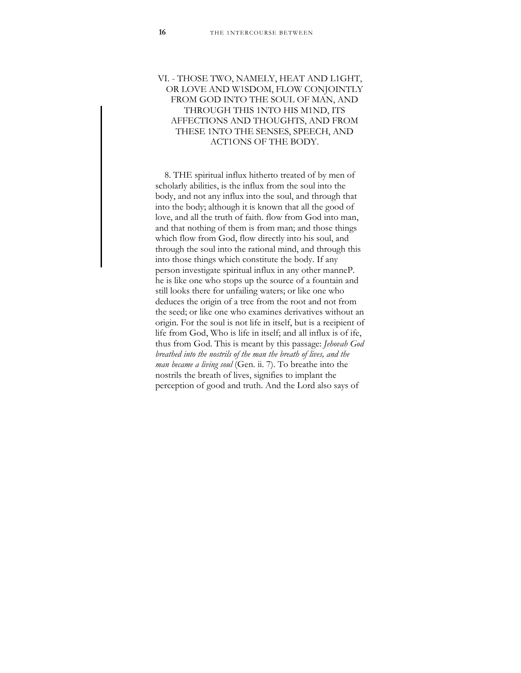# VI. - THOSE TWO, NAMELY, HEAT AND L1GHT, OR LOVE AND W1SDOM, FLOW CONJOINTLY FROM GOD INTO THE SOUL OF MAN, AND THROUGH THIS 1NTO HIS M1ND, ITS AFFECTIONS AND THOUGHTS, AND FROM THESE 1NTO THE SENSES, SPEECH, AND ACT1ONS OF THE BODY.

8. THE spiritual influx hitherto treated of by men of scholarly abilities, is the influx from the soul into the body, and not any influx into the soul, and through that into the body; although it is known that all the good of love, and all the truth of faith. flow from God into man, and that nothing of them is from man; and those things which flow from God, flow directly into his soul, and through the soul into the rational mind, and through this into those things which constitute the body. If any person investigate spiritual influx in any other manneP. he is like one who stops up the source of a fountain and still looks there for unfailing waters; or like one who deduces the origin of a tree from the root and not from the seed; or like one who examines derivatives without an origin. For the soul is not life in itself, but is a reeipient of life from God, Who is life in itself; and all influx is of ife, thus from God. This is meant by this passage: *Jehovah God breathed into the nostrils of the man the breath of lives, and the man became a living soul* (Gen. ii. 7). To breathe into the nostrils the breath of lives, signifies to implant the perception of good and truth. And the Lord also says of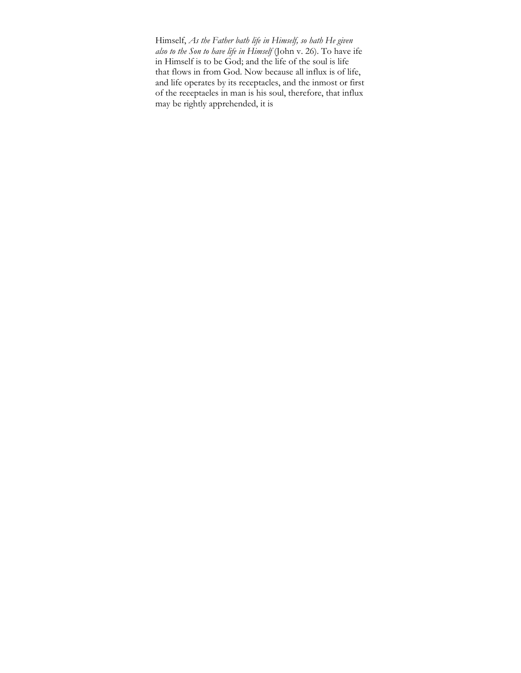Himself, *As the Father bath life in Himself, so hath He given also to the Son to have life in Himself* (John v. 26). To have ife in Himself is to be God; and the life of the soul is life that flows in from God. Now because all influx is of life, and life operates by its receptacles, and the inmost or first of the reeeptaeles in man is his soul, therefore, that influx may be rightly apprehended, it is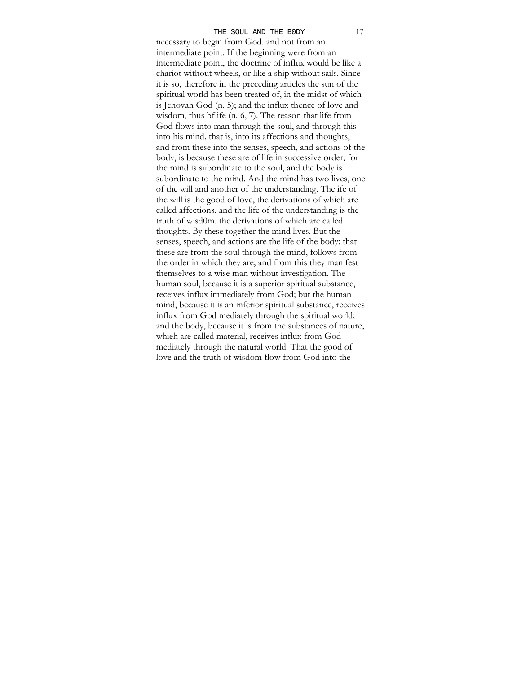necessary to begin from God. and not from an intermediate point. If the beginning were from an intermediate point, the doctrine of influx would be like a chariot without wheels, or like a ship without sails. Since it is so, therefore in the preceding articles the sun of the spiritual world has been treated of, in the midst of which is Jehovah God (n. 5); and the influx thence of love and wisdom, thus bf ife (n. 6, 7). The reason that life from God flows into man through the soul, and through this into his mind. that is, into its affections and thoughts, and from these into the senses, speech, and actions of the body, is because these are of life in successive order; for the mind is subordinate to the soul, and the body is subordinate to the mind. And the mind has two lives, one of the will and another of the understanding. The ife of the will is the good of love, the derivations of which are called affections, and the life of the understanding is the truth of wisd0m. the derivations of whieh are called thoughts. By these together the mind lives. But the senses, speech, and actions are the life of the body; that these are from the soul through the mind, follows from the order in which they are; and from this they manifest themselves to a wise man without investigation. The human soul, because it is a superior spiritual substance, receives influx immediately from God; but the human mind, because it is an inferior spiritual substance, receives influx from God mediately through the spiritual world; and the body, because it is from the substanees of nature, whieh are called material, receives influx from God mediately through the natural world. That the good of love and the truth of wisdom flow from God into the THE SOUL AND THE BODY 17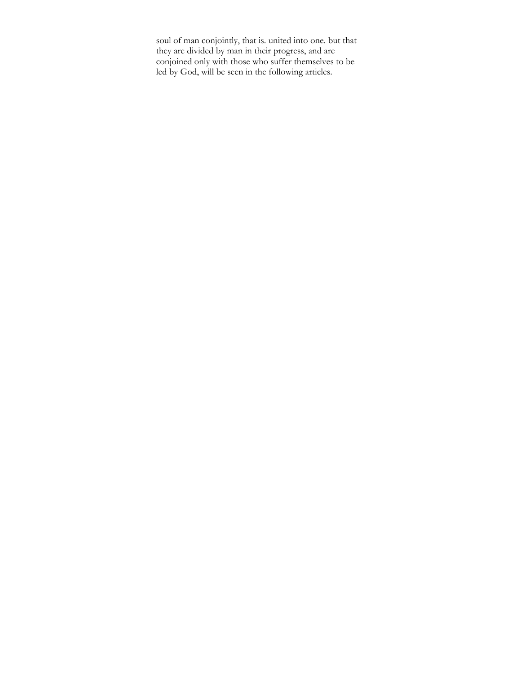soul of man conjointly, that is. united into one. but that they are divided by man in their progress, and are conjoined only with those who suffer themselves to be led by God, will be seen in the following articles.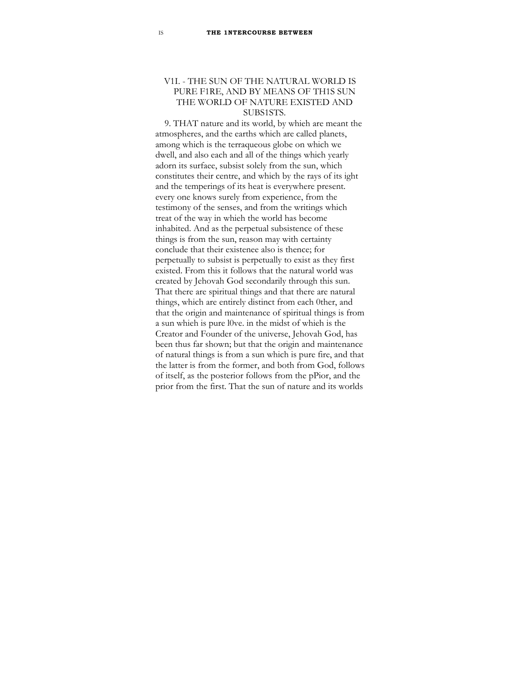# V1I. - THE SUN OF THE NATURAL WORLD IS PURE F1RE, AND BY MEANS OF TH1S SUN THE WORLD OF NATURE EXISTED AND SUBS1STS.

9. THAT nature and its world, by whieh are meant the atmospheres, and the earths which are called planets, among which is the terraqueous globe on which we dwell, and also each and all of the things which yearly adorn its surfaee, subsist solely from the sun, which constitutes their centre, and which by the rays of its ight and the temperings of its heat is everywhere present. every one knows surely from experience, from the testimony of the senses, and from the writings which treat of the way in whieh the world has become inhabited. And as the perpetual subsistence of these things is from the sun, reason may with certainty conclude that their existenee also is thence; for perpetually to subsist is perpetually to exist as they first existed. From this it follows that the natural world was created by Jehovah God secondarily through this sun. That there are spiritual things and that there are natural things, which are entirely distinct from each 0ther, and that the origin and maintenance of spiritual things is from a sun whieh is pure l0ve. in the midst of whieh is the Creator and Founder of the universe, Jehovah God, has been thus far shown; but that the origin and maintenance of natural things is from a sun which is pure fire, and that the latter is from the former, and both from God, follows of itself, as the posterior follows from the pPior, and the prior from the first. That the sun of nature and its worlds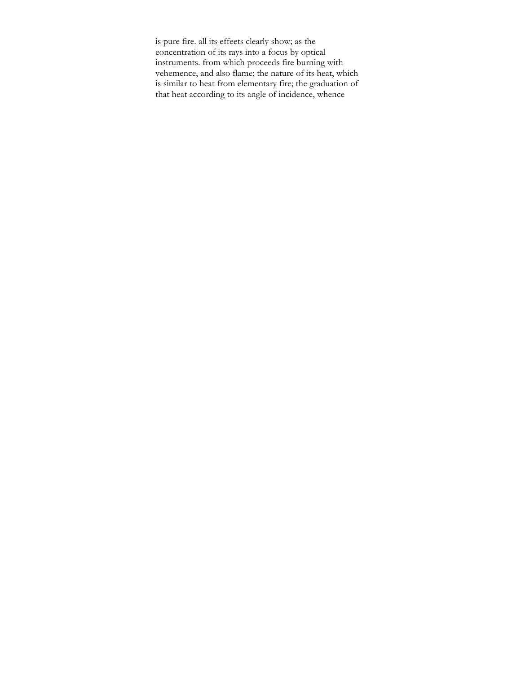is pure fire. all its effeets clearly show; as the eoncentration of its rays into a focus by optical instruments. from which proceeds fire burning with vehemence, and also flame; the nature of its heat, which is similar to heat from elementary fire; the graduation of that heat according to its angle of incidence, whence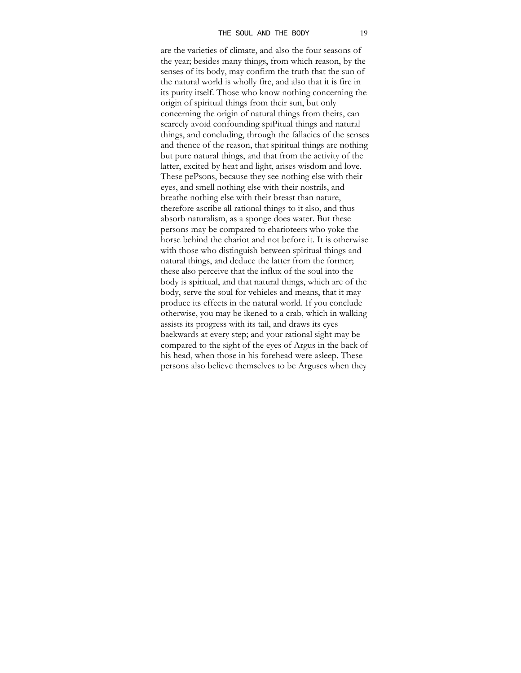are the varieties of climate, and also the four seasons of the year; besides many things, from which reason, by the senses of its body, may confirm the truth that the sun of the natural world is wholly fire, and also that it is fire in its purity itself. Those who know nothing concerning the origin of spiritual things from their sun, but only coneerning the origin of natural things from theirs, can scarcely avoid confounding spiPitual things and natural things, and concluding, through the fallacies of the senses and thence of the reason, that spiritual things are nothing but pure natural things, and that from the activity of the latter, excited by heat and light, arises wisdom and love. These pePsons, because they see nothing else with their eyes, and smell nothing else with their nostrils, and breathe nothing else with their breast than nature, therefore ascribe all rational things to it also, and thus absorb naturalism, as a sponge does water. But these persons may be compared to eharioteers who yoke the horse behind the chariot and not before it. It is otherwise with those who distinguish between spiritual things and natural things, and deduce the latter from the former; these also perceive that the influx of the soul into the body is spiritual, and that natural things, which are of the body, serve the soul for vehieles and means, that it may produce its effects in the natural world. If you conclude otherwise, you may be ikened to a crab, which in walking assists its progress with its tail, and draws its eyes baekwards at every step; and your rational sight may be compared to the sight of the eyes of Argus in the back of his head, when those in his forehead were asleep. These persons also believe themselves to be Arguses when they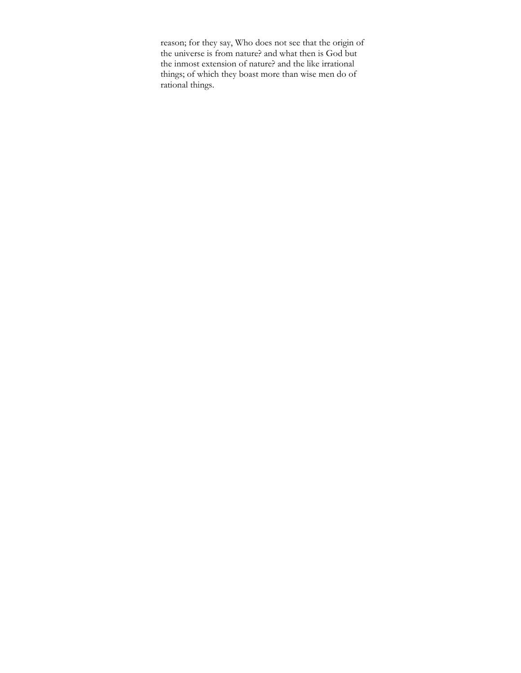reason; for they say, Who does not see that the origin of the universe is from nature? and what then is God but the inmost extension of nature? and the like irrational things; of which they boast more than wise men do of rational things.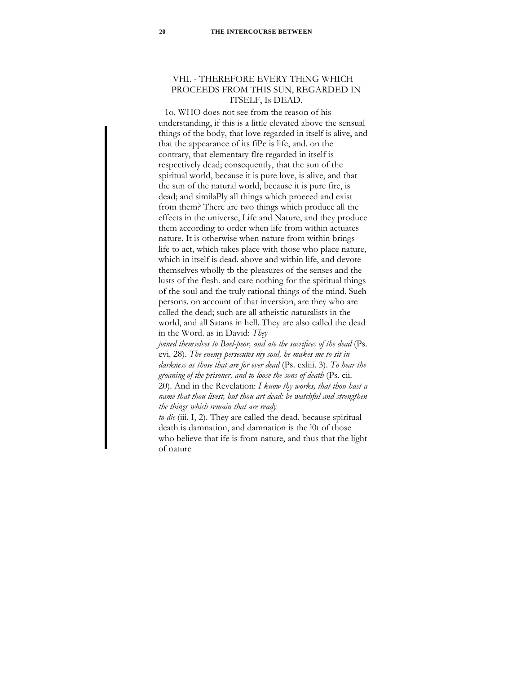# VHI. - THEREFORE EVERY THiNG WHICH PROCEEDS FROM THIS SUN, REGARDED IN ITSELF, Is DEAD.

1o. WHO does not see from the reason of his understanding, if this is a little elevated above the sensual things of the body, that love regarded in itself is alive, and that the appearance of its fiPe is life, and. on the contrary, that elementary flre regarded in itself is respectively dead; consequently, that the sun of the spiritual world, because it is pure love, is alive, and that the sun of the natural world, because it is pure fire, is dead; and similaPly all things which proeeed and exist from them? There are two things which produce all the effects in the universe, Life and Nature, and they produce them according to order when life from within actuates nature. It is otherwise when nature from within brings life to act, which takes place with those who place nature, which in itself is dead. above and within life, and devote themselves wholly tb the pleasures of the senses and the lusts of the flesh. and care nothing for the spiritual things of the soul and the truly rational things of the mind. Sueh persons. on account of that inversion, are they who are called the dead; such are all atheistic naturalists in the world, and all Satans in hell. They are also called the dead in the Word. as in David: *They* 

*joined themselves to Bael-peor, and ate the sacrifices of the dead* (Ps. evi. 28). *The enemy persecutes my soul, he makes me to sit in darkness as those that are for ever dead* (Ps. cxliii. 3). *To hear the groaning of the prisoner, and to loose the sons of death* (Ps. cii. 20). And in the Revelation: *I know thy works, that thou hast a name that thou livest, but thou art dead: be watchful and strengthen the things which remain that are ready* 

*to die* (iii. I, 2). They are called the dead. because spiritual death is damnation, and damnation is the l0t of those who believe that ife is from nature, and thus that the light of nature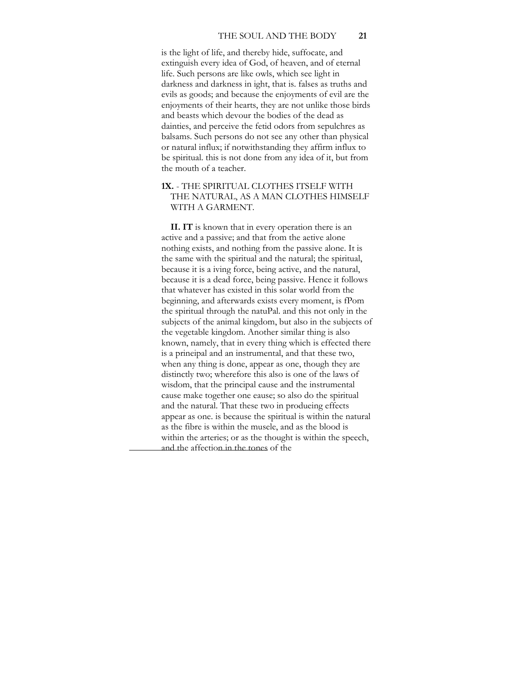is the light of life, and thereby hide, suffocate, and extinguish every idea of God, of heaven, and of eternal life. Such persons are like owls, which see light in darkness and darkness in ight, that is. falses as truths and evils as goods; and because the enjoyments of evil are the enjoyments of their hearts, they are not unlike those birds and beasts which devour the bodies of the dead as dainties, and perceive the fetid odors from sepulchres as balsams. Such persons do not see any other than physical or natural influx; if notwithstanding they affirm influx to be spiritual. this is not done from any idea of it, but from the mouth of a teacher.

# **1X.** - THE SPIRITUAL CLOTHES ITSELF WITH THE NATURAL, AS A MAN CLOTHES HIMSELF WITH A GARMENT.

**II. IT** is known that in every operation there is an active and a passive; and that from the aetive alone nothing exists, and nothing from the passive alone. It is the same with the spiritual and the natural; the spiritual, because it is a iving force, being active, and the natural, because it is a dead force, being passive. Hence it follows that whatever has existed in this solar world from the beginning, and afterwards exists every moment, is fPom the spiritual through the natuPal. and this not only in the subjects of the animal kingdom, but also in the subjects of the vegetable kingdom. Another similar thing is also known, namely, that in every thing which is effected there is a prineipal and an instrumental, and that these two, when any thing is done, appear as one, though they are distinctly two; wherefore this also is one of the laws of wisdom, that the principal cause and the instrumental cause make together one eause; so also do the spiritual and the natural. That these two in produeing effects appear as one. is because the spiritual is within the natural as the fibre is within the musele, and as the blood is within the arteries; or as the thought is within the speech, and the affection in the tones of the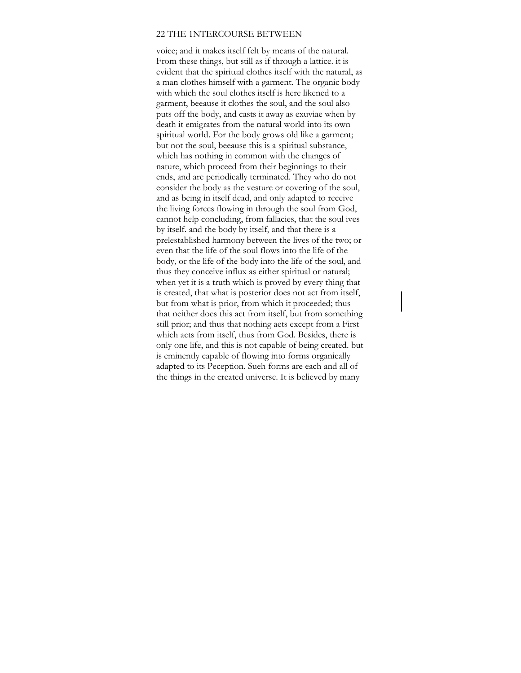#### 22 THE 1NTERCOURSE BETWEEN

voice; and it makes itself felt by means of the natural. From these things, but still as if through a lattice. it is evident that the spiritual clothes itself with the natural, as a man clothes himself with a garment. The organic body with which the soul elothes itself is here likened to a garment, beeause it clothes the soul, and the soul also puts off the body, and casts it away as exuviae when by death it emigrates from the natural world into its own spiritual world. For the body grows old like a garment; but not the soul, beeause this is a spiritual substance, which has nothing in eommon with the changes of nature, which proceed from their beginnings to their ends, and are periodically terminated. They who do not eonsider the body as the vesture or covering of the soul, and as being in itself dead, and only adapted to receive the living forces flowing in through the soul from God, cannot help concluding, from fallacies, that the soul ives by itself. and the body by itself, and that there is a prelestablished harmony between the lives of the two; or even that the life of the soul flows into the life of the body, or the life of the body into the life of the soul, and thus they conceive influx as either spiritual or natural; when yet it is a truth which is proved by every thing that is created, that what is posterior does not act from itself, but from what is prior, from which it proceeded; thus that neither does this act from itself, but from something still prior; and thus that nothing aets except from a First which acts from itself, thus from God. Besides, there is only one life, and this is not capable of being created. but is eminently capable of flowing into forms organically adapted to its Peception. Sueh forms are each and all of the things in the created universe. It is believed by many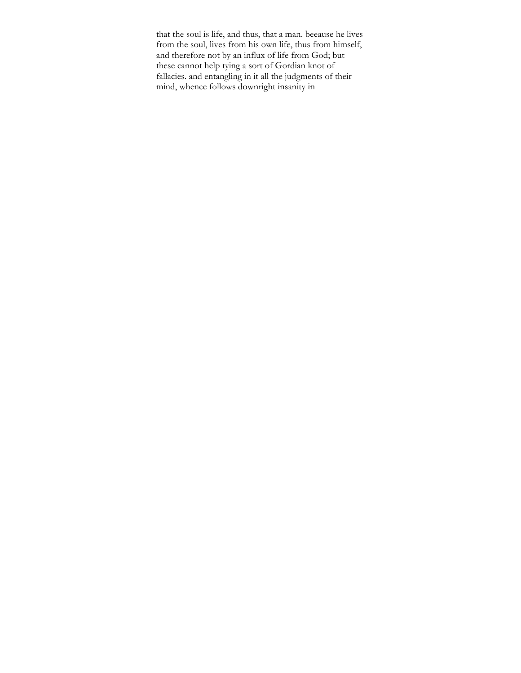that the soul is life, and thus, that a man. beeause he lives from the soul, lives from his own life, thus from himself, and therefore not by an influx of life from God; but these cannot help tying a sort of Gordian knot of fallacies. and entangling in it all the judgments of their mind, whence follows downright insanity in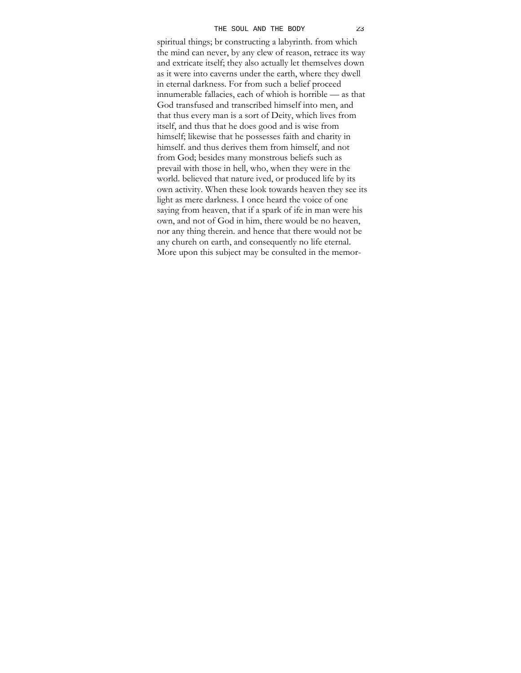#### THE SOUL AND THE BODY 23

spiritual things; br constructing a labyrinth. from which the mind can never, by any clew of reason, retraee its way and extricate itself; they also actually let themselves down as it were into caverns under the earth, where they dwell in eternal darkness. For from such a belief proceed innumerable fallacies, each of whioh is horrible — as that God transfused and transcribed himself into men, and that thus every man is a sort of Deity, which lives from itself, and thus that he does good and is wise from himself; likewise that he possesses faith and charity in himself. and thus derives them from himself, and not from God; besides many monstrous beliefs such as prevail with those in hell, who, when they were in the world. believed that nature ived, or produced life by its own activity. When these look towards heaven they see its light as mere darkness. I once heard the voice of one saying from heaven, that if a spark of ife in man were his own, and not of God in him, there would be no heaven, nor any thing therein. and hence that there would not be any chureh on earth, and consequently no life eternal. More upon this subject may be consulted in the memor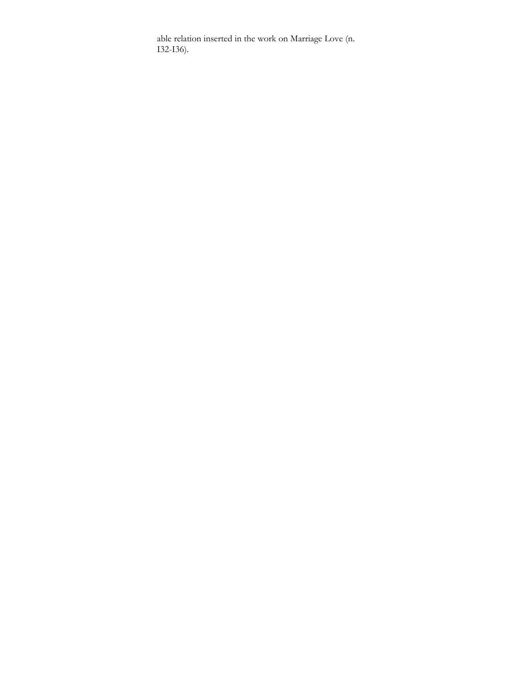able relation inserted in the work on Marriage Love (n. I32-I36).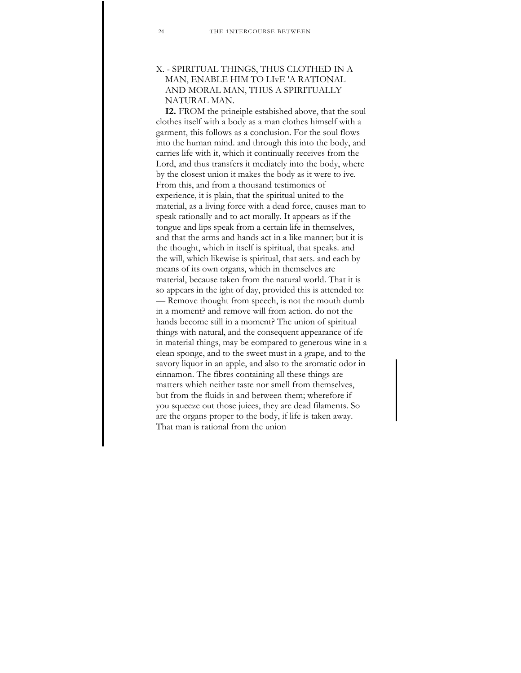# X. - SPIRITUAL THINGS, THUS CLOTHED IN A MAN, ENABLE HIM TO LIvE 'A RATIONAL AND MORAL MAN, THUS A SPIRITUALLY NATURAL MAN.

**I2.** FROM the prineiple estabished above, that the soul clothes itself with a body as a man clothes himself with a garment, this follows as a conclusion. For the soul flows into the human mind. and through this into the body, and carries life with it, which it continually receives from the Lord, and thus transfers it mediately into the body, where by the closest union it makes the body as it were to ive. From this, and from a thousand testimonies of experience, it is plain, that the spiritual united to the material, as a living force with a dead force, causes man to speak rationally and to act morally. It appears as if the tongue and lips speak from a certain life in themselves, and that the arms and hands act in a like manner; but it is the thought, which in itself is spiritual, that speaks. and the will, which likewise is spiritual, that aets. and each by means of its own organs, which in themselves are material, because taken from the natural world. That it is so appears in the ight of day, provided this is attended to: — Remove thought from speech, is not the mouth dumb in a moment? and remove will from action. do not the hands become still in a moment? The union of spiritual things with natural, and the consequent appearance of ife in material things, may be eompared to generous wine in a elean sponge, and to the sweet must in a grape, and to the savory liquor in an apple, and also to the aromatic odor in einnamon. The fibres containing all these things are matters whieh neither taste nor smell from themselves, but from the fluids in and between them; wherefore if you squeeze out those juiees, they are dead filaments. So are the organs proper to the body, if life is taken away. That man is rational from the union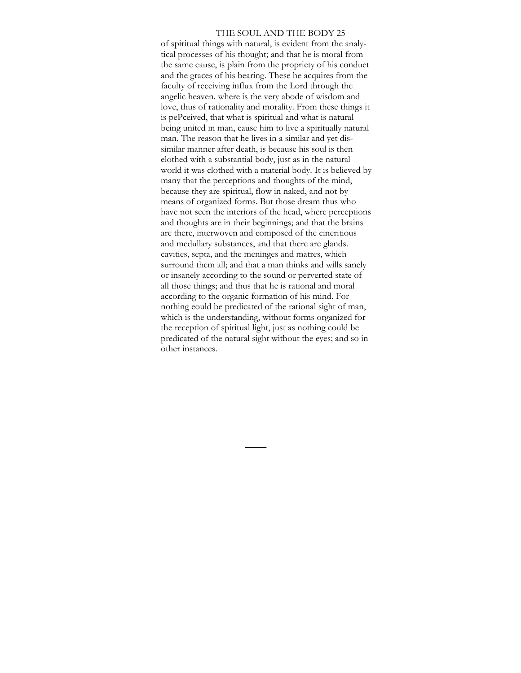#### THE SOUL AND THE BODY 25

of spiritual things with natural, is evident from the analytical processes of his thought; and that he is moral from the same cause, is plain from the propriety of his conduet and the graces of his bearing. These he acquires from the faculty of receiving influx from the Lord through the angelic heaven. where is the very abode of wisdom and love, thus of rationality and morality. From these things it is pePceived, that what is spiritual and what is natural being united in man, cause him to live a spiritually natural man. The reason that he lives in a similar and yet dissimilar manner after death, is beeause his soul is then elothed with a substantial body, just as in the natural world it was clothed with a material body. It is believed by many that the perceptions and thoughts of the mind, because they are spiritual, flow in naked, and not by means of organized forms. But those dream thus who have not seen the interiors of the head, where perceptions and thoughts are in their beginnings; and that the brains are there, interwoven and composed of the cineritious and medullary substances, and that there are glands. cavities, septa, and the meninges and matres, whieh surround them all; and that a man thinks and wills sanely or insanely according to the sound or perverted state of all those things; and thus that he is rational and moral according to the organic formation of his mind. For nothing eould be predicated of the rational sight of man, which is the understanding, without forms organized for the reception of spiritual light, just as nothing could be predicated of the natural sight without the eyes; and so in other instances.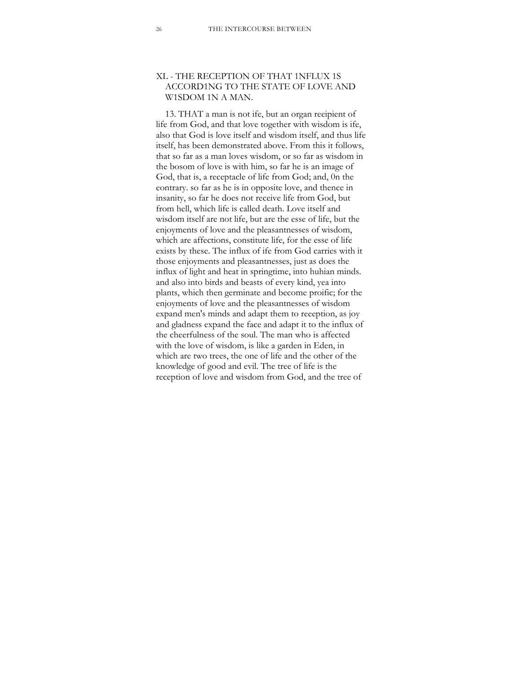# XL - THE RECEPTION OF THAT 1NFLUX 1S ACCORD1NG TO THE STATE OF LOVE AND W1SDOM 1N A MAN.

13. THAT a man is not ife, but an organ reeipient of life from God, and that love together with wisdom is ife, also that God is love itself and wisdom itself, and thus life itself, has been demonstrated above. From this it follows, that so far as a man loves wisdom, or so far as wisdom in the bosom of love is with him, so far he is an image of God, that is, a receptacle of life from God; and, 0n the eontrary. so far as he is in opposite love, and thence in insanity, so far he does not receive life from God, but from hell, which life is called death. Love itself and wisdom itself are not life, but are the esse of life, but the enjoyments of love and the pleasantnesses of wisdom, which are affections, constitute life, for the esse of life exists by these. The influx of ife from God carries with it those enjoyments and pleasantnesses, just as does the influx of light and heat in springtime, into huhian minds. and also into birds and beasts of every kind, yea into plants, which then germinate and become proific; for the enjoyments of love and the pleasantnesses of wisdom expand men's minds and adapt them to reeeption, as joy and gladness expand the face and adapt it to the influx of the cheerfulness of the soul. The man who is affected with the love of wisdom, is like a garden in Eden, in which are two trees, the one of life and the other of the knowledge of good and evil. The tree of life is the reception of love and wisdom from God, and the tree of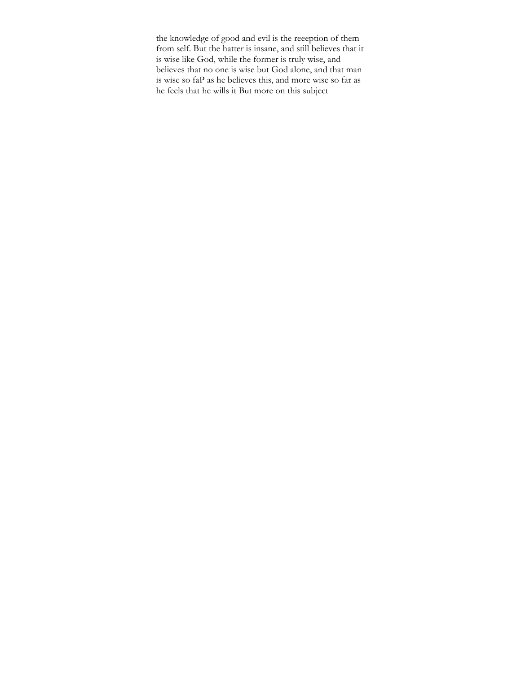the knowledge of good and evil is the reeeption of them from self. But the hatter is insane, and still believes that it is wise like God, while the former is truly wise, and believes that no one is wise but God alone, and that man is wise so faP as he believes this, and more wise so far as he feels that he wills it But more on this subject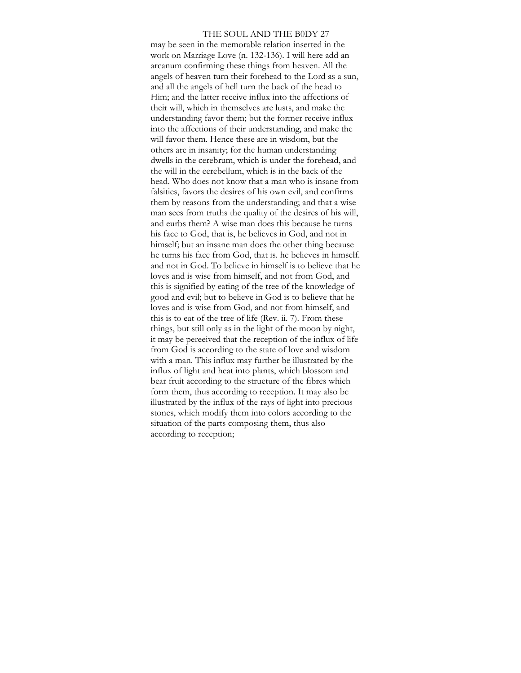#### THE SOUL AND THE B0DY 27

may be seen in the memorable relation inserted in the work on Marriage Love (n. 132-136). I will here add an arcanum confirming these things from heaven. All the angels of heaven turn their forehead to the Lord as a sun, and all the angels of hell turn the back of the head to Him; and the latter receive influx into the affections of their will, which in themselves are lusts, and make the understanding favor them; but the former receive influx into the affections of their understanding, and make the will favor them. Hence these are in wisdom, but the others are in insanity; for the human understanding dwells in the cerebrum, which is under the forehead, and the will in the eerebellum, which is in the back of the head. Who does not know that a man who is insane from falsities, favors the desires of his own evil, and eonfirms them by reasons from the understanding; and that a wise man sees from truths the quality of the desires of his will, and eurbs them? A wise man does this because he turns his face to God, that is, he believes in God, and not in himself; but an insane man does the other thing because he turns his faee from God, that is. he believes in himself. and not in God. To believe in himself is to believe that he loves and is wise from himself, and not from God, and this is signified by eating of the tree of the knowledge of good and evil; but to believe in God is to believe that he loves and is wise from God, and not from himself, and this is to eat of the tree of life (Rev. ii. 7). From these things, but still only as in the light of the moon by night, it may be pereeived that the reception of the influx of life from God is aceording to the state of love and wisdom with a man. This influx may further be illustrated by the influx of light and heat into plants, which blossom and bear fruit according to the strueture of the fibres whieh form them, thus aceording to reeeption. It may also be illustrated by the influx of the rays of light into precious stones, which modify them into colors aceording to the situation of the parts composing them, thus also according to reception;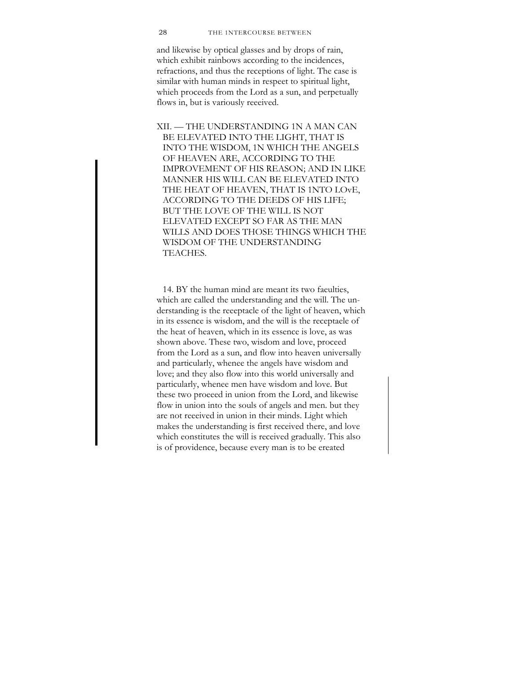#### 28 THE 1NTERCOURSE BETWEEN

and likewise by optical glasses and by drops of rain, which exhibit rainbows according to the incidences, refractions, and thus the receptions of light. The case is similar with human minds in respeet to spiritual light, whieh proceeds from the Lord as a sun, and perpetually flows in, but is variously reeeived.

XII. — THE UNDERSTANDING 1N A MAN CAN BE ELEVATED INTO THE LIGHT, THAT IS INTO THE WISDOM, 1N WHICH THE ANGELS OF HEAVEN ARE, ACCORDING TO THE IMPROVEMENT OF HIS REASON; AND IN LIKE MANNER HIS WILL CAN BE ELEVATED INTO THE HEAT OF HEAVEN, THAT IS 1NTO LOvE, ACCORDING TO THE DEEDS OF HIS LIFE; BUT THE LOVE OF THE WILL IS NOT ELEVATED EXCEPT SO FAR AS THE MAN WILLS AND DOES THOSE THINGS WHICH THE WISDOM OF THE UNDERSTANDING TEACHES.

14. BY the human mind are meant its two faeulties, which are called the understanding and the will. The understanding is the reeeptacle of the light of heaven, which in its essence is wisdom, and the will is the receptaele of the heat of heaven, which in its essence is love, as was shown above. These two, wisdom and love, proceed from the Lord as a sun, and flow into heaven universally and particularly, whenee the angels have wisdom and love; and they also flow into this world universally and particularly, whenee men have wisdom and love. But these two proeeed in union from the Lord, and likewise flow in union into the souls of angels and men. but they are not reeeived in union in their minds. Light whieh makes the understanding is first received there, and love which eonstitutes the will is received gradually. This also is of providence, because every man is to be ereated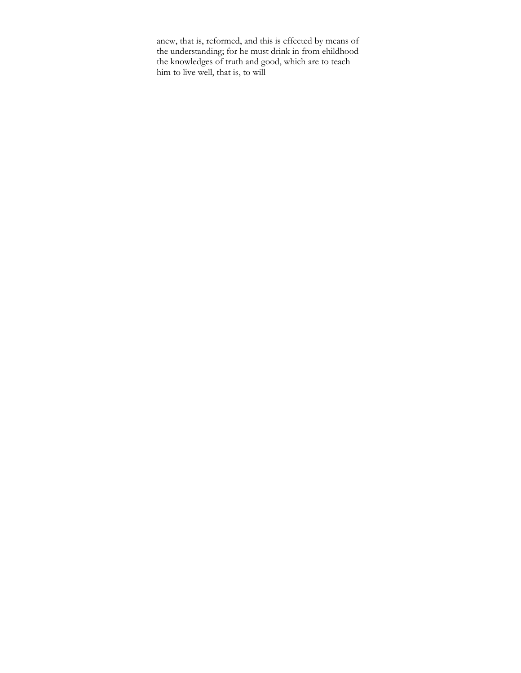anew, that is, reformed, and this is effected by means of the understanding; for he must drink in from ehildhood the knowledges of truth and good, which are to teach him to live well, that is, to will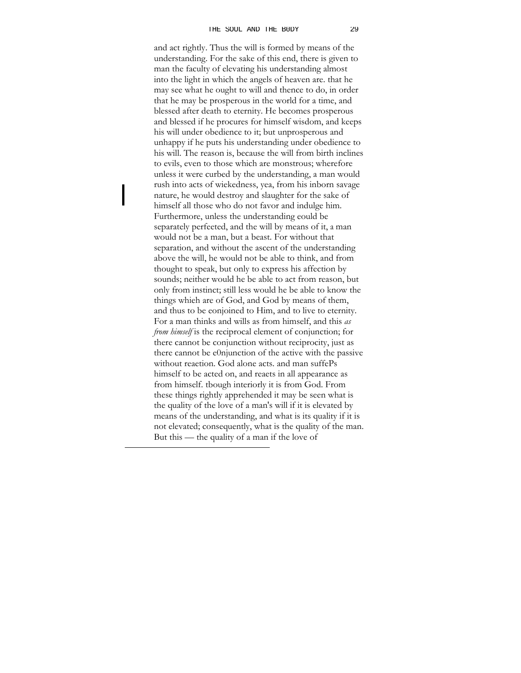and act rightly. Thus the will is formed by means of the understanding. For the sake of this end, there is given to man the faculty of elevating his understanding almost into the light in which the angels of heaven are. that he may see what he ought to will and thence to do, in order that he may be prosperous in the world for a time, and blessed after death to eternity. He becomes prosperous and blessed if he procures for himself wisdom, and keeps his will under obedience to it; but unprosperous and unhappy if he puts his understanding under obedience to his will. The reason is, because the will from birth inclines to evils, even to those which are monstrous; wherefore unless it were curbed by the understanding, a man would rush into acts of wiekedness, yea, from his inborn savage nature, he would destroy and slaughter for the sake of himself all those who do not favor and indulge him. Furthermore, unless the understanding eould be separately perfeeted, and the will by means of it, a man would not be a man, but a beast. For without that separation, and without the ascent of the understanding above the will, he would not be able to think, and from thought to speak, but only to express his affection by sounds; neither would he be able to act from reason, but only from instinct; still less would he be able to know the things whieh are of God, and God by means of them, and thus to be eonjoined to Him, and to live to eternity. For a man thinks and wills as from himself, and this *as from himself* is the reciprocal element of conjunction; for there cannot be conjunction without reciprocity, just as there cannot be e0njunction of the active with the passive without reaetion. God alone acts. and man suffePs himself to be acted on, and reaets in all appearance as from himself. tbough interiorly it is from God. From these things rightly apprehended it may be seen what is the quality of the love of a man's will if it is elevated by means of the understanding, and what is its quality if it is not elevated; consequently, what is the quality of the man. But this — the quality of a man if the love of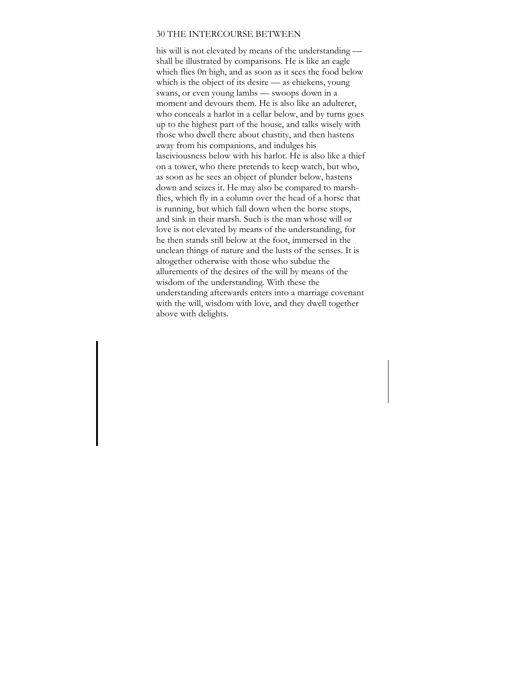### 30 THE INTERCOURSE BETWEEN

his will is not elevated by means of the understanding shall be illustrated by comparisons. He is like an eagle whieh flies 0n high, and as soon as it sees the food below which is the object of its desire — as ehiekens, young swans, or even young lambs — swoops down in a moment and devours them. He is also like an adulterer, who conceals a harlot in a cellar below, and by turns goes up to the highest part of the house, and talks wisely with those who dwell there about chastity, and then hastens away from his companions, and indulges his laseiviousness below with his harlot. He is also like a thief on a tower, who there pretends to keep watch, but who, as soon as he sees an object of plunder below, hastens down and seizes it. He may also be compared to marshflies, which fly in a eolumn over the head of a horse that is running, but which fall down when the horse stops, and sink in their marsh. Such is the man whose will or love is not elevated by means of the understanding, for he then stands still below at the foot, immersed in the unclean things of nature and the lusts of the senses. It is altogether otherwise with those who subdue the allurements of the desires of the will by means of the wisdom of the understanding. With these the understanding afterwards enters into a marriage covenant with the will, wisdom with love, and they dwell together above with delights.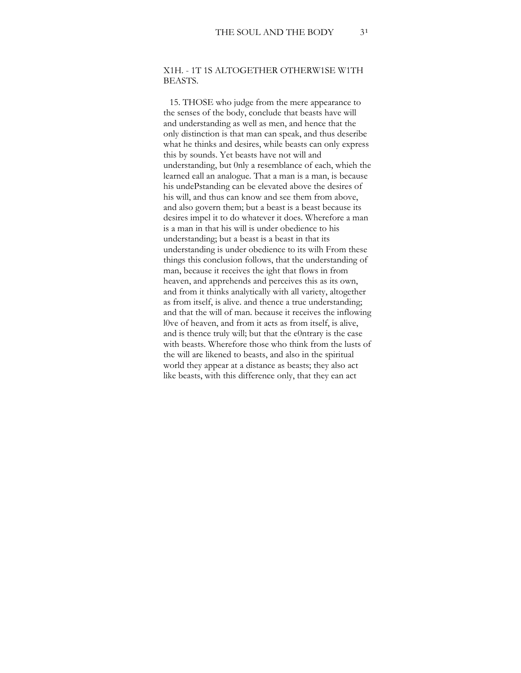# X1H. - 1T 1S ALTOGETHER OTHERW1SE W1TH BEASTS.

15. THOSE who judge from the mere appearance to the senses of the body, conclude that beasts have will and understanding as well as men, and hence that the only distinction is that man can speak, and thus deseribe what he thinks and desires, while beasts can only express this by sounds. Yet beasts have not will and understanding, but 0nly a resemblance of each, whieh the learned eall an analogue. That a man is a man, is because his undePstanding can be elevated above the desires of his will, and thus can know and see them from above, and also govern them; but a beast is a beast because its desires impel it to do whatever it does. Wherefore a man is a man in that his will is under obedience to his understanding; but a beast is a beast in that its understanding is under obedience to its wilh From these things this conclusion follows, that the understanding of man, because it receives the ight that flows in from heaven, and apprehends and perceives this as its own, and from it thinks analytically with all variety, altogether as from itself, is alive. and thence a true understanding; and that the will of man. because it receives the inflowing l0ve of heaven, and from it acts as from itself, is alive, and is thence truly will; but that the e0ntrary is the case with beasts. Wherefore those who think from the lusts of the will are likened to beasts, and also in the spiritual world they appear at a distance as beasts; they also act like beasts, with this difference only, that they ean act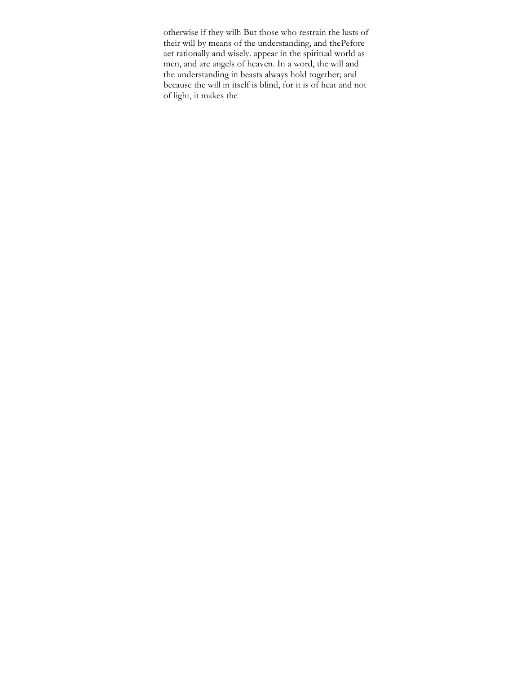otherwise if they wilh But those who restrain the lusts of their will by means of the understanding, and thePefore aet rationally and wisely. appear in the spiritual world as men, and are angels of heaven. In a word, the will and the understanding in beasts always hold together; and because the will in itself is blind, for it is of heat and not of light, it makes the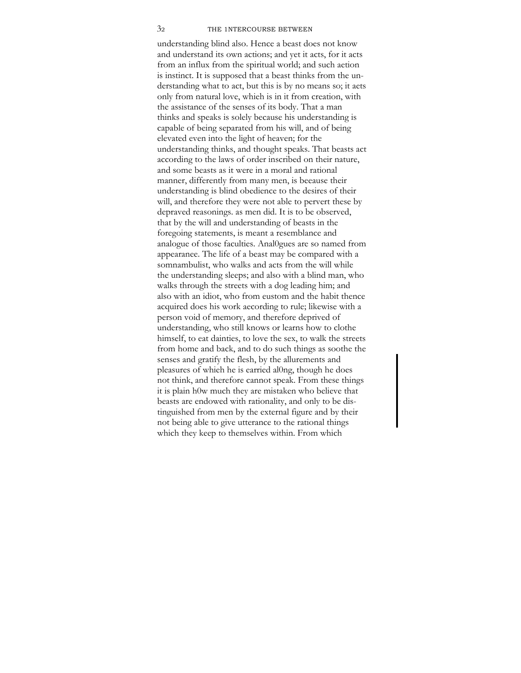#### 32 THE 1NTERCOURSE BETWEEN

understanding blind also. Hence a beast does not know and understand its own actions; and yet it acts, for it acts from an influx from the spiritual world; and such aetion is instinct. It is supposed that a beast thinks from the understanding what to act, but this is by no means so; it aets only from natural love, whieh is in it from creation, with the assistance of the senses of its body. That a man thinks and speaks is solely because his understanding is capable of being separated from his will, and of being elevated even into the light of heaven; for the understanding thinks, and thought speaks. That beasts act according to the laws of order inscribed on their nature, and some beasts as it were in a moral and rational manner, differently from many men, is beeause their understanding is blind obedience to the desires of their will, and therefore they were not able to pervert these by depraved reasonings. as men did. It is to be observed, that by the will and understanding of beasts in the foregoing statements, is meant a resemblance and analogue of those faculties. Anal0gues are so named from appearanee. The life of a beast may be compared with a somnambulist, who walks and acts from the will while the understanding sleeps; and also with a blind man, who walks through the streets with a dog leading him; and also with an idiot, who from eustom and the habit thence acquired does his work aecording to rule; likewise with a person void of memory, and therefore deprived of understanding, who still knows or learns how to clothe himself, to eat dainties, to love the sex, to walk the streets from home and back, and to do such things as soothe the senses and gratify the flesh, by the allurements and pleasures of whieh he is earried al0ng, though he does not think, and therefore cannot speak. From these things it is plain h0w much they are mistaken who believe that beasts are endowed with rationality, and only to be distinguished from men by the external figure and by their not being able to give utterance to the rational things which they keep to themselves within. From which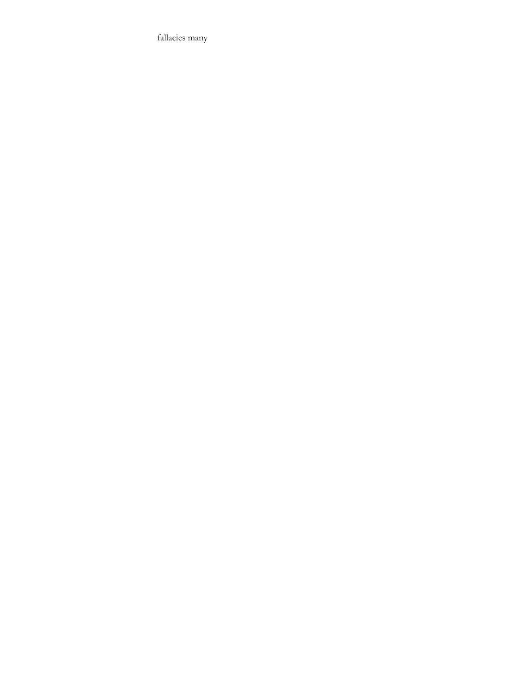fallacies many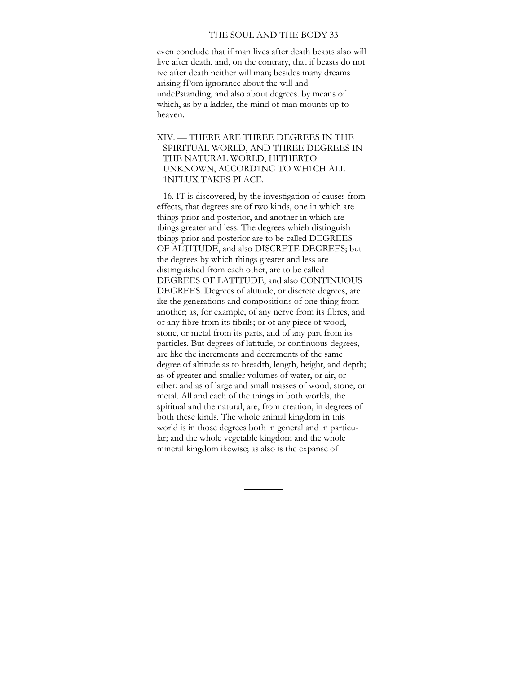### THE SOUL AND THE BODY 33

even conclude that if man lives after death beasts also will live after death, and, on the contrary, that if beasts do not ive after death neither will man; besides many dreams arising fPom ignoranee about the will and undePstanding, and also about degrees. by means of which, as by a ladder, the mind of man mounts up to heaven.

# XIV. — THERE ARE THREE DEGREES IN THE SPIRITUAL WORLD, AND THREE DEGREES IN THE NATURAL WORLD, HITHERTO UNKNOWN, ACCORD1NG TO WH1CH ALL 1NFLUX TAKES PLACE.

16. IT is discovered, by the investigation of causes from effects, that degrees are of two kinds, one in which are things prior and posterior, and another in which are tbings greater and less. The degrees whieh distinguish tbings prior and posterior are to be called DEGREES OF ALTITUDE, and also DISCRETE DEGREES; but the degrees by which things greater and less are distinguished from eaeh other, are to be called DEGREES OF LATITUDE, and also CONTINUOUS DEGREES. Degrees of altitude, or discrete degrees, are ike the generations and compositions of one thing from another; as, for example, of any nerve from its fibres, and of any fibre from its fibrils; or of any piece of wood, stone, or metal from its parts, and of any part from its particles. But degrees of latitude, or continuous degrees, are like the increments and decrements of the same degree of altitude as to breadth, length, height, and depth; as of greater and smaller volumes of water, or air, or ether; and as of large and small masses of wood, stone, or metal. All and each of the things in both worlds, the spiritual and the natural, are, from creation, in degrees of both these kinds. The whole animal kingdom in this world is in those degrees both in general and in particular; and the whole vegetable kingdom and the whole mineral kingdom ikewise; as also is the expanse of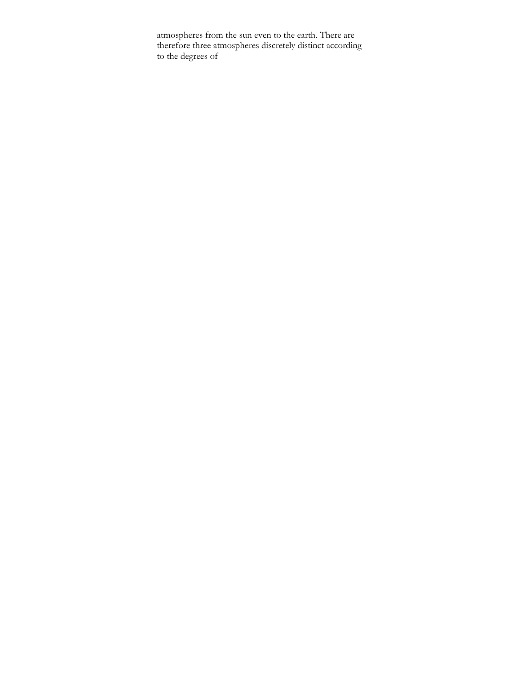atmospheres from the sun even to the earth. There are therefore three atmospheres discretely distinct according to the degrees of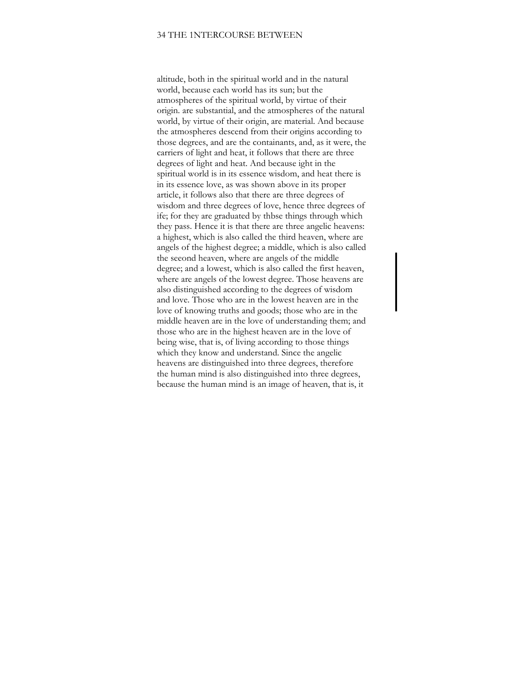### 34 THE 1NTERCOURSE BETWEEN

altitude, both in the spiritual world and in the natural world, because each world has its sun; but the atmospheres of the spiritual world, by virtue of their origin. are substantial, and the atmospheres of the natural world, by virtue of their origin, are material. And because the atmospheres descend from their origins according to those degrees, and are the containants, and, as it were, the carriers of light and heat, it follows that there are three degrees of light and heat. And because ight in the spiritual world is in its essence wisdom, and heat there is in its essence love, as was shown above in its proper article, it follows also that there are three degrees of wisdom and three degrees of love, hence three degrees of ife; for they are graduated by thbse things through which they pass. Hence it is that there are three angelic heavens: a highest, which is also called the third heaven, where are angels of the highest degree; a middle, which is also called the seeond heaven, where are angels of the middle degree; and a lowest, which is also called the first heaven, where are angels of the lowest degree. Those heavens are also distinguished according to the degrees of wisdom and love. Those who are in the lowest heaven are in the love of knowing truths and goods; those who are in the middle heaven are in the love of understanding them; and those who are in the highest heaven are in the love of being wise, that is, of living according to those things which they know and understand. Since the angelic heavens are distinguished into three degrees, therefore the human mind is also distinguished into three degrees, because the human mind is an image of heaven, that is, it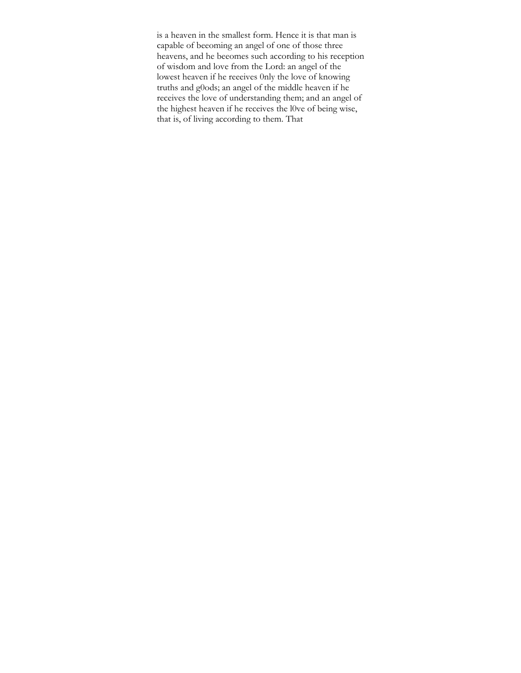is a heaven in the smallest form. Hence it is that man is capable of beeoming an angel of one of those three heavens, and he beeomes such according to his reception of wisdom and love from the Lord: an angel of the lowest heaven if he reeeives 0nly the love of knowing truths and g0ods; an angel of the middle heaven if he receives the love of understanding them; and an angel of the highest heaven if he receives the l0ve of being wise, that is, of living according to them. That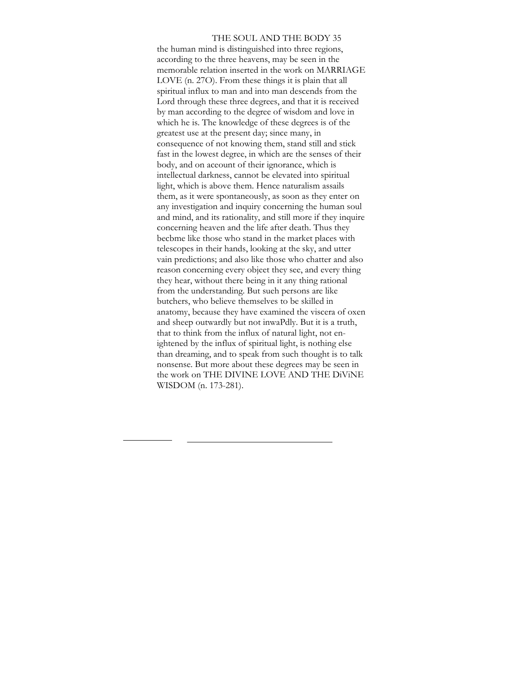THE SOUL AND THE BODY 35 the human mind is distinguished into three regions, according to the three heavens, may be seen in the memorable relation inserted in the work on MARRIAGE LOVE (n. 27O). From these things it is plain that all spiritual influx to man and into man descends from the Lord through these three degrees, and that it is received by man according to the degree of wisdom and love in which he is. The knowledge of these degrees is of the greatest use at the present day; since many, in consequence of not knowing them, stand still and stick fast in the lowest degree, in which are the senses of their body, and on aceount of their ignorance, which is intellectual darkness, cannot be elevated into spiritual light, which is above them. Hence naturalism assails them, as it were spontaneously, as soon as they enter on any investigation and inquiry concerning the human soul and mind, and its rationality, and still more if they inquire concerning heaven and the life after death. Thus they becbme like those who stand in the market places with telescopes in their hands, looking at the sky, and utter vain predictions; and also like those who chatter and also reason concerning every objeet they see, and every thing they hear, without there being in it any thing rational from the understanding. But sueh persons are like butchers, who believe themselves to be skilled in anatomy, because they have examined the viscera of oxen and sheep outwardly but not inwaPdly. But it is a truth, that to think from the influx of natural light, not enightened by the influx of spiritual light, is nothing else than dreaming, and to speak from such thought is to talk nonsense. But more about these degrees may be seen in the work on THE DIVINE LOVE AND THE DiViNE WISDOM (n. 173-281).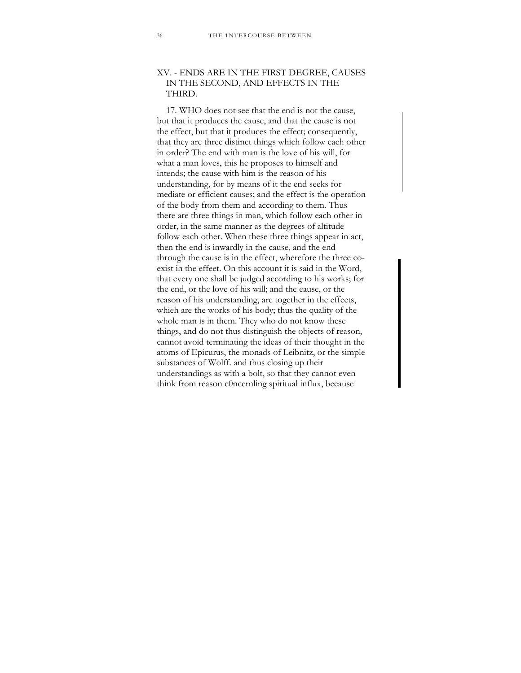# XV. - ENDS ARE IN THE FIRST DEGREE, CAUSES IN THE SECOND, AND EFFECTS IN THE THIRD.

17. WHO does not see that the end is not the cause, but that it produces the cause, and that the cause is not the effect, but that it produces the effect; consequently, that they are three distinct things which follow each other in order? The end with man is the love of his will, for what a man loves, this he proposes to himself and intends; the cause with him is the reason of his understanding, for by means of it the end seeks for mediate or efficient causes; and the effect is the operation of the body from them and according to them. Thus there are three things in man, which follow each other in order, in the same manner as the degrees of altitude follow each other. When these three things appear in act, then the end is inwardly in the cause, and the end through the cause is in the effect, wherefore the three coexist in the effeet. On this account it is said in the Word, that every one shall be judged according to his works; for the end, or the love of his will; and the eause, or the reason of his understanding, are together in the effeets, whieh are the works of his body; thus the quality of the whole man is in them. They who do not know these things, and do not thus distinguish the objects of reason, cannot avoid terminating the ideas of their thought in the atoms of Epicurus, the monads of Leibnitz, or the simple substances of Wolff. and thus closing up their understandings as with a bolt, so that they cannot even think from reason e0ncernling spiritual influx, beeause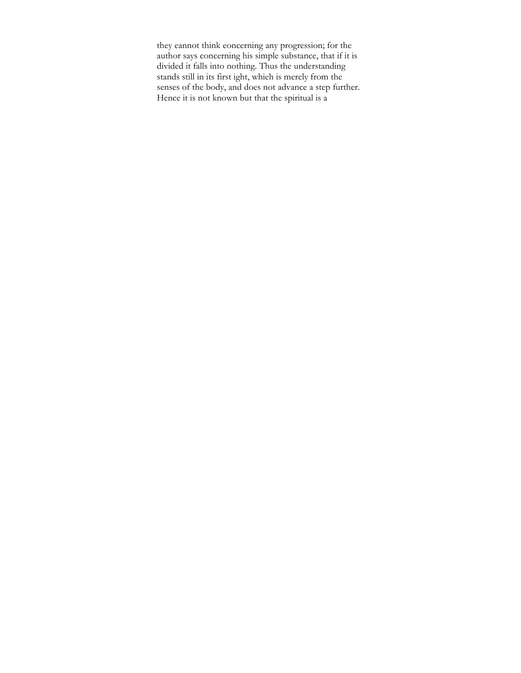they eannot think eoncerning any progression; for the author says concerning his simple substance, that if it is divided it falls into nothing. Thus the understanding stands still in its first ight, whieh is merely from the senses of the body, and does not advance a step further. Hence it is not known but that the spiritual is a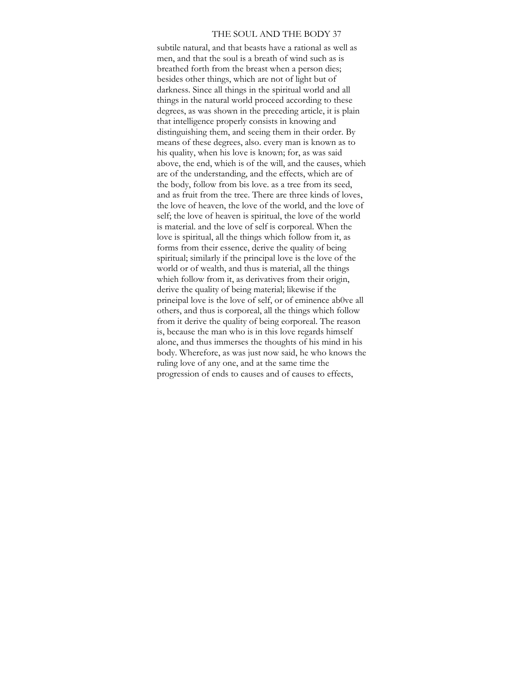#### THE SOUL AND THE BODY 37

subtile natural, and that beasts have a rational as well as men, and that the soul is a breath of wind such as is breathed forth from the breast when a person dies; besides other things, which are not of light but of darkness. Since all things in the spiritual world and all things in the natural world proceed according to these degrees, as was shown in the preceding article, it is plain that intelligence properly consists in knowing and distinguishing them, and seeing them in their order. By means of these degrees, also. every man is known as to his quality, when his love is known; for, as was said above, the end, whieh is of the will, and the causes, whieh are of the understanding, and the effects, whieh are of the body, follow from bis love. as a tree from its seed, and as fruit from the tree. There are three kinds of loves, the love of heaven, the love of the world, and the love of self; the love of heaven is spiritual, the love of the world is material. and the love of self is corporeal. When the love is spiritual, all the things which follow from it, as forms from their essence, derive the quality of being spiritual; similarly if the principal love is the love of the world or of wealth, and thus is material, all the things whieh follow from it, as derivatives from their origin, derive the quality of being material; likewise if the prineipal love is the love of self, or of eminence ab0ve all others, and thus is corporeal, all the things which follow from it derive the quality of being eorporeal. The reason is, because the man who is in this love regards himself alone, and thus immerses the thoughts of his mind in his body. Wherefore, as was just now said, he who knows the ruling love of any one, and at the same time the progression of ends to causes and of causes to effects,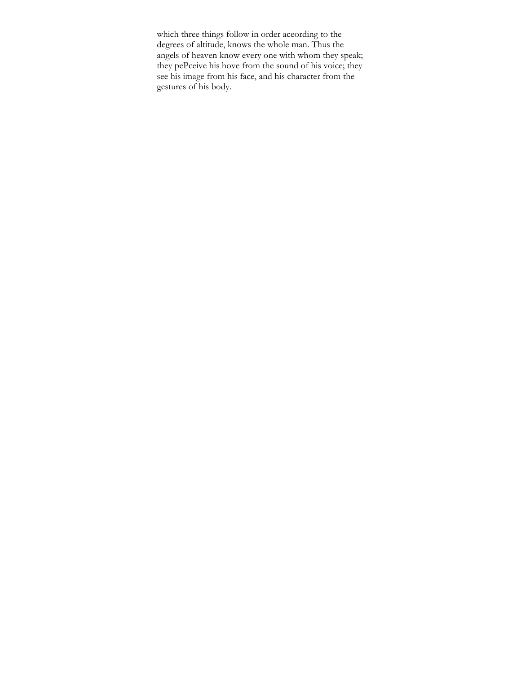which three things follow in order aceording to the degrees of altitude, knows the whole man. Thus the angels of heaven know every one with whom they speak; they pePceive his hove from the sound of his voice; they see his image from his face, and his character from the gestures of his body.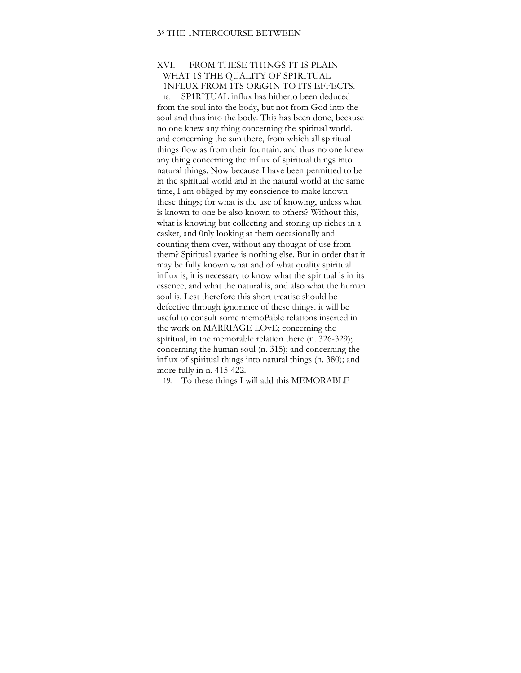# XVI. — FROM THESE TH1NGS 1T IS PLAIN WHAT 1S THE QUALITY OF SP1RITUAL 1NFLUX FROM 1TS ORiG1N TO ITS EFFECTS.

18. SP1RITUAL influx has hitherto been deduced from the soul into the body, but not from God into the soul and thus into the body. This has been done, because no one knew any thing concerning the spiritual world. and concerning the sun there, from which all spiritual things flow as from their fountain. and thus no one knew any thing concerning the influx of spiritual things into natural things. Now because I have been permitted to be in the spiritual world and in the natural world at the same time, I am obliged by my eonscience to make known these things; for what is the use of knowing, unless what is known to one be also known to others? Without this, what is knowing but colleeting and storing up riches in a casket, and 0nly looking at them oecasionally and counting them over, without any thought of use from them? Spiritual avariee is nothing else. But in order that it may be fully known what and of what quality spiritual influx is, it is necessary to know what the spiritual is in its essence, and what the natural is, and also what the human soul is. Lest therefore this short treatise should be defeetive through ignorance of these things. it will be useful to consult some memoPable relations inserted in the work on MARRIAGE LOvE; concerning the spiritual, in the memorable relation there (n. 326-329); concerning the human soul (n. 315); and concerning the influx of spiritual things into natural things (n. 380); and more fully in n. 415-422.

19. To these things I will add this MEMORABLE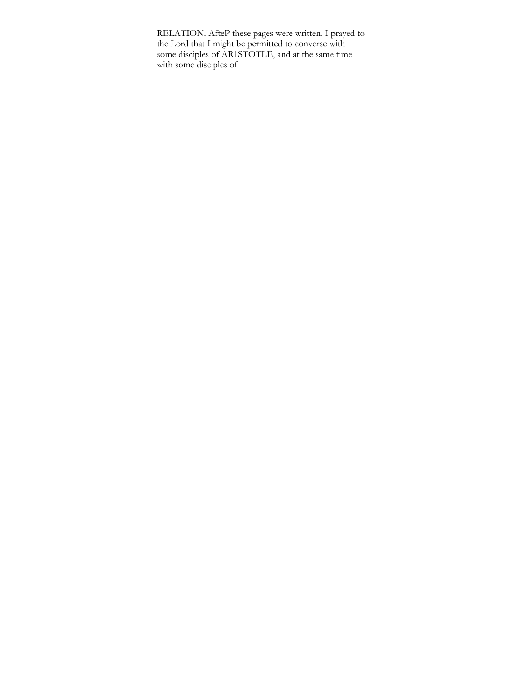RELATION. AfteP these pages were written. I prayed to the Lord that I might be permitted to eonverse with some disciples of AR1STOTLE, and at the same time with some disciples of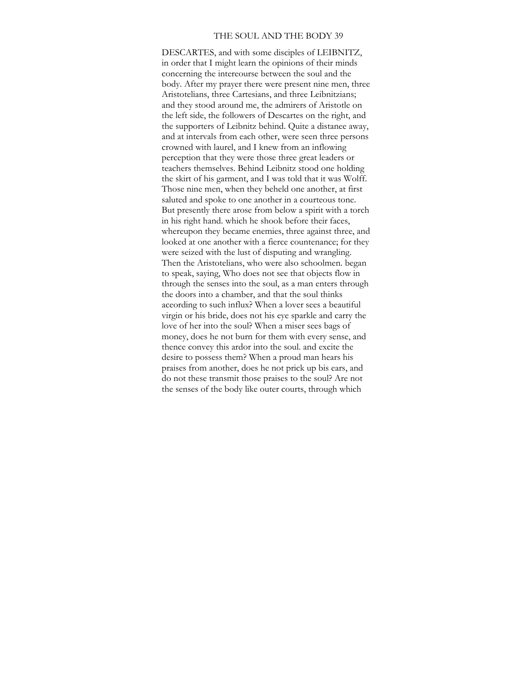#### THE SOUL AND THE BODY 39

DESCARTES, and with some disciples of LEIBNITZ, in order that I might learn the opinions of their minds concerning the intereourse between the soul and the body. After my prayer there were present nine men, three Aristotelians, three Cartesians, and three Leibnitzians; and they stood around me, the admirers of Aristotle on the left side, the followers of Descartes on the right, and the supporters of Leibnitz behind. Quite a distanee away, and at intervals from each other, were seen three persons crowned with laurel, and I knew from an inflowing perception that they were those three great leaders or teachers themselves. Behind Leibnitz stood one holding the skirt of his garment, and I was told that it was Wolff. Those nine men, when they beheld one another, at first saluted and spoke to one another in a courteous tone. But presently there arose from below a spirit with a torch in his right hand. which he shook before their faces, whereupon they became enemies, three against three, and looked at one another with a fierce countenance; for they were seized with the lust of disputing and wrangling. Then the Aristotelians, who were also schoolmen. began to speak, saying, Who does not see that objects flow in through the senses into the soul, as a man enters through the doors into a chamber, and that the soul thinks aceording to such influx? When a lover sees a beautiful virgin or his bride, does not his eye sparkle and carry the love of her into the soul? When a miser sees bags of money, does he not burn for them with every sense, and thence convey this ardor into the soul. and excite the desire to possess them? When a proud man hears his praises from another, does he not prick up bis ears, and do not these transmit those praises to the soul? Are not the senses of the body like outer courts, through which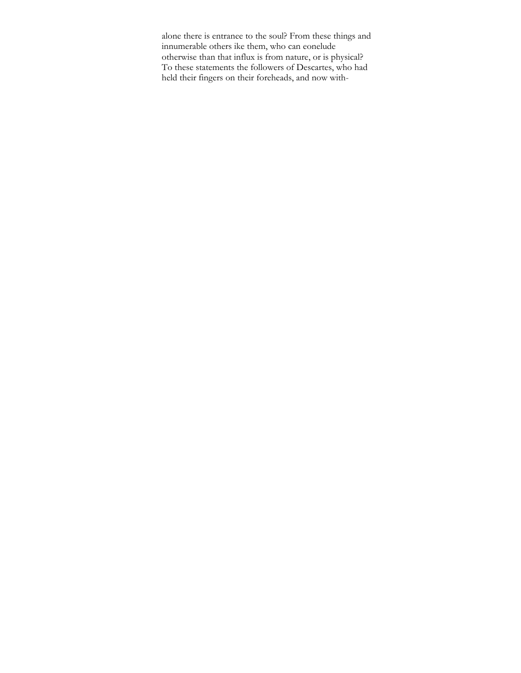alone there is entranee to the soul? From these things and innumerable others ike them, who can eonelude otherwise than that influx is from nature, or is physical? To these statements the followers of Descartes, who had held their fingers on their foreheads, and now with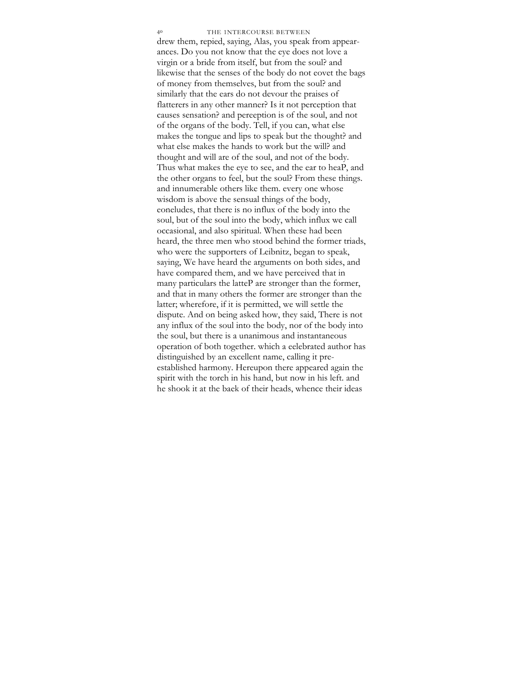drew them, repied, saying, Alas, you speak from appearances. Do you not know that the eye does not love a virgin or a bride from itself, but from the soul? and likewise that the senses of the body do not eovet the bags of money from themselves, but from the soul? and similarly that the ears do not devour the praises of flatterers in any other manner? Is it not perception that causes sensation? and pereeption is of the soul, and not of the organs of the body. Tell, if you can, what else makes the tongue and lips to speak but the thought? and what else makes the hands to work but the will? and thought and will are of the soul, and not of the body. Thus what makes the eye to see, and the ear to heaP, and the other organs to feel, but the soul? From these things. and innumerable others like them. every one whose wisdom is above the sensual things of the body, eoneludes, that there is no influx of the body into the soul, but of the soul into the body, which influx we call occasional, and also spiritual. When these had been heard, the three men who stood behind the former triads, who were the supporters of Leibnitz, began to speak, saying, We have heard the arguments on both sides, and have compared them, and we have perceived that in many particulars the latteP are stronger than the former, and that in many others the former are stronger than the latter; wherefore, if it is permitted, we will settle the dispute. And on being asked how, they said, There is not any influx of the soul into the body, nor of the body into the soul, but there is a unanimous and instantaneous operation of both together. which a eelebrated author has distinguished by an excellent name, calling it preestablished harmony. Hereupon there appeared again the spirit with the torch in his hand, but now in his left. and he shook it at the baek of their heads, whence their ideas 4<sup>0</sup> THE 1NTERCOURSE BETWEEN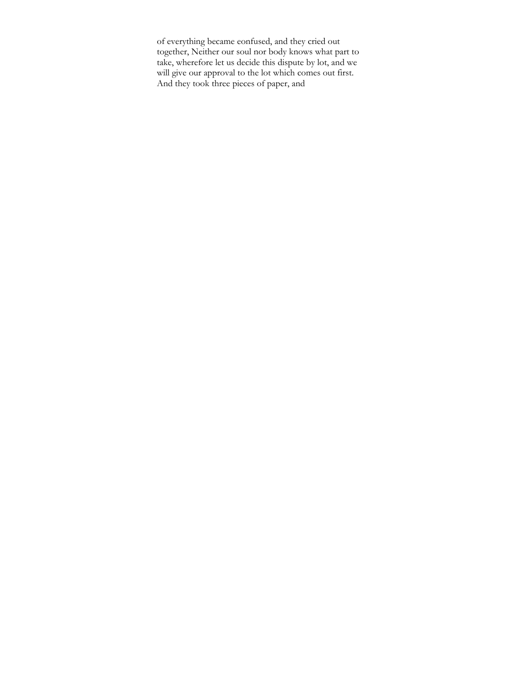of everything became eonfused, and they cried out together, Neither our soul nor body knows what part to take, wherefore let us decide this dispute by lot, and we will give our approval to the lot which comes out first. And they took three pieces of paper, and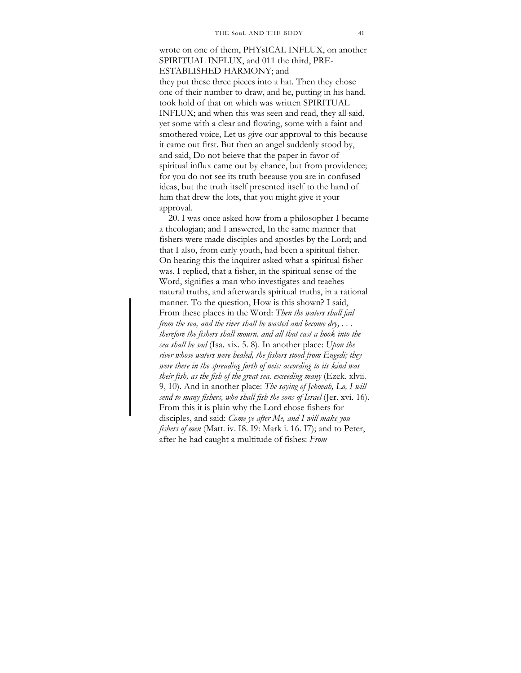wrote on one of them, PHYsICAL INFLUX, on another SPIRITUAL INFLUX, and 011 the third, PRE-ESTABLISHED HARMONY; and they put these three pieces into a hat. Then they chose one of their number to draw, and he, putting in his hand. took hold of that on which was written SPIRITUAL INFLUX; and when this was seen and read, they all said, yet some with a clear and flowing, some with a faint and smothered voice, Let us give our approval to this because it came out first. But then an angel suddenly stood by, and said, Do not beieve that the paper in favor of spiritual influx came out by ehance, but from providence; for you do not see its truth beeause you are in confused ideas, but the truth itself presented itself to the hand of him that drew the lots, that you might give it your approval.

20. I was once asked how from a philosopher I became a theologian; and I answered, In the same manner that fishers were made disciples and apostles by the Lord; and that I also, from early youth, had been a spiritual fisher. On hearing this the inquirer asked what a spiritual fisher was. I replied, that a fisher, in the spiritual sense of the Word, signifies a man who investigates and teaehes natural truths, and afterwards spiritual truths, in a rational manner. To the question, How is this shown? I said, From these plaees in the Word: *Then the waters shall fail from the sea, and the river shall be wasted and become dry, . . . therefore the fishers shall mourn. and all that cast a hook into the sea shall be sad* (Isa. xix. 5. 8). In another place: *Upon the river whose waters were healed, the fishers stood from Engedi; they were there in the spreading forth of nets: according to its kind was their fish, as the fish of the great sea. exceeding many* (Ezek. xlvii. 9, 10). And in another place: *The saying of Jehovah, Lo, I will send to many fishers, who shall fish the sons of Israel* (Jer. xvi. 16). From this it is plain why the Lord ehose fishers for disciples, and said: *Come ye after Me, and I will make you fishers of men* (Matt. iv. I8. I9: Mark i. 16. I7); and to Peter, after he had caught a multitude of fishes: *From*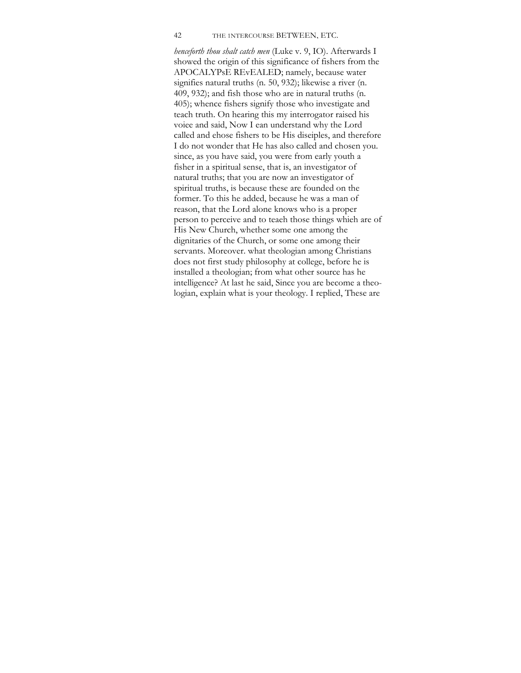#### 42 THE 1NTERCOURSE BETWEEN, ETC.

*henceforth thou shalt catch men* (Luke v. 9, IO). Afterwards I showed the origin of this significance of fishers from the APOCALYPsE REvEALED; namely, because water signifies natural truths (n. 50, 932); likewise a river (n. 409, 932); and fish those who are in natural truths (n. 405); whence fishers signify those who investigate and teach truth. On hearing this my interrogator raised his voiee and said, Now I ean understand why the Lord called and ehose fishers to be His diseiples, and therefore I do not wonder that He has also called and chosen you. since, as you have said, you were from early youth a fisher in a spiritual sense, that is, an investigator of natural truths; that you are now an investigator of spiritual truths, is because these are founded on the former. To this he added, because he was a man of reason, that the Lord alone knows who is a proper person to perceive and to teaeh those things whieh are of His New Church, whether some one among the dignitaries of the Church, or some one among their servants. Moreover. what theologian among Christians does not first study philosophy at college, before he is installed a theologian; from what other source has he intelligence? At last he said, Since you are become a theologian, explain what is your theology. I replied, These are